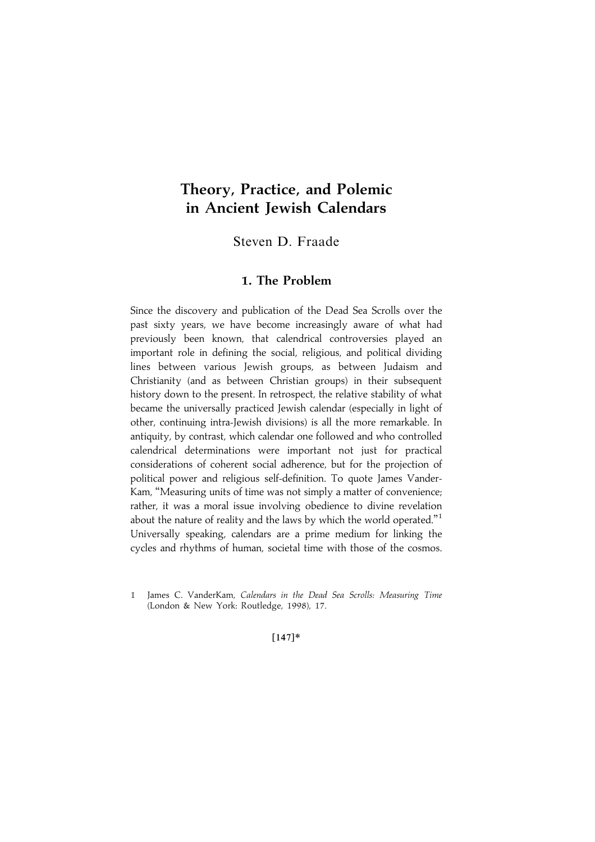# Theory, Practice, and Polemic in Ancient Jewish Calendars

Steven D. Fraade

# 1. The Problem

Since the discovery and publication of the Dead Sea Scrolls over the past sixty years, we have become increasingly aware of what had previously been known, that calendrical controversies played an important role in defining the social, religious, and political dividing lines between various Jewish groups, as between Judaism and Christianity (and as between Christian groups) in their subsequent history down to the present. In retrospect, the relative stability of what became the universally practiced Jewish calendar (especially in light of other, continuing intra-Jewish divisions) is all the more remarkable. In antiquity, by contrast, which calendar one followed and who controlled calendrical determinations were important not just for practical considerations of coherent social adherence, but for the projection of political power and religious self-definition. To quote James Vander-Kam, ''Measuring units of time was not simply a matter of convenience; rather, it was a moral issue involving obedience to divine revelation about the nature of reality and the laws by which the world operated."<sup>1</sup> Universally speaking, calendars are a prime medium for linking the cycles and rhythms of human, societal time with those of the cosmos.

 $[147]*$ 

<sup>1</sup> James C. VanderKam, Calendars in the Dead Sea Scrolls: Measuring Time (London & New York: Routledge, 1998), 17.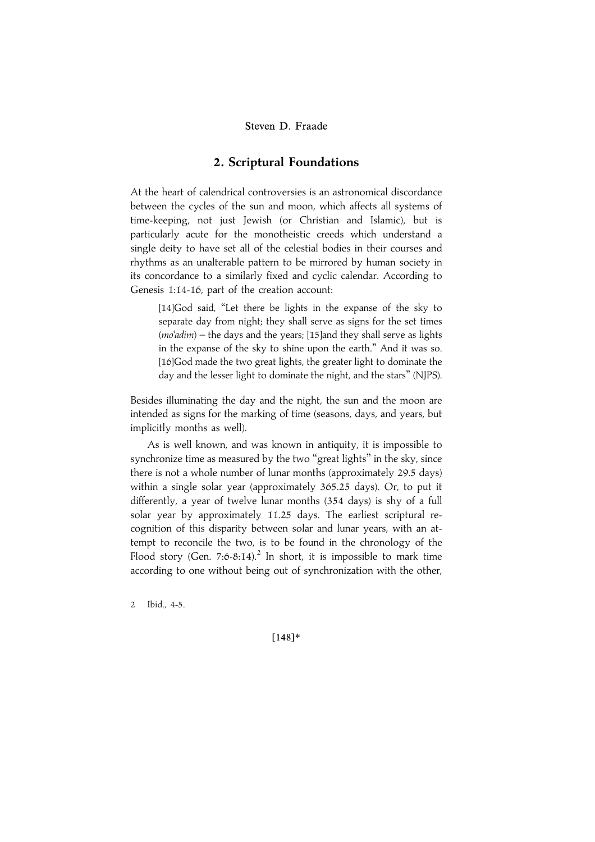# 2. Scriptural Foundations

At the heart of calendrical controversies is an astronomical discordance between the cycles of the sun and moon, which affects all systems of time-keeping, not just Jewish (or Christian and Islamic), but is particularly acute for the monotheistic creeds which understand a single deity to have set all of the celestial bodies in their courses and rhythms as an unalterable pattern to be mirrored by human society in its concordance to a similarly fixed and cyclic calendar. According to Genesis 1:14-16, part of the creation account:

[14]God said, ''Let there be lights in the expanse of the sky to separate day from night; they shall serve as signs for the set times  $(mo'adin)$  – the days and the years; [15] and they shall serve as lights in the expanse of the sky to shine upon the earth.'' And it was so. [16]God made the two great lights, the greater light to dominate the day and the lesser light to dominate the night, and the stars'' (NJPS).

Besides illuminating the day and the night, the sun and the moon are intended as signs for the marking of time (seasons, days, and years, but implicitly months as well).

As is well known, and was known in antiquity, it is impossible to synchronize time as measured by the two "great lights" in the sky, since there is not a whole number of lunar months (approximately 29.5 days) within a single solar year (approximately 365.25 days). Or, to put it differently, a year of twelve lunar months (354 days) is shy of a full solar year by approximately 11.25 days. The earliest scriptural recognition of this disparity between solar and lunar years, with an attempt to reconcile the two, is to be found in the chronology of the Flood story (Gen. 7:6-8:14).<sup>2</sup> In short, it is impossible to mark time according to one without being out of synchronization with the other,

2 Ibid., 4-5.

 $[148]*$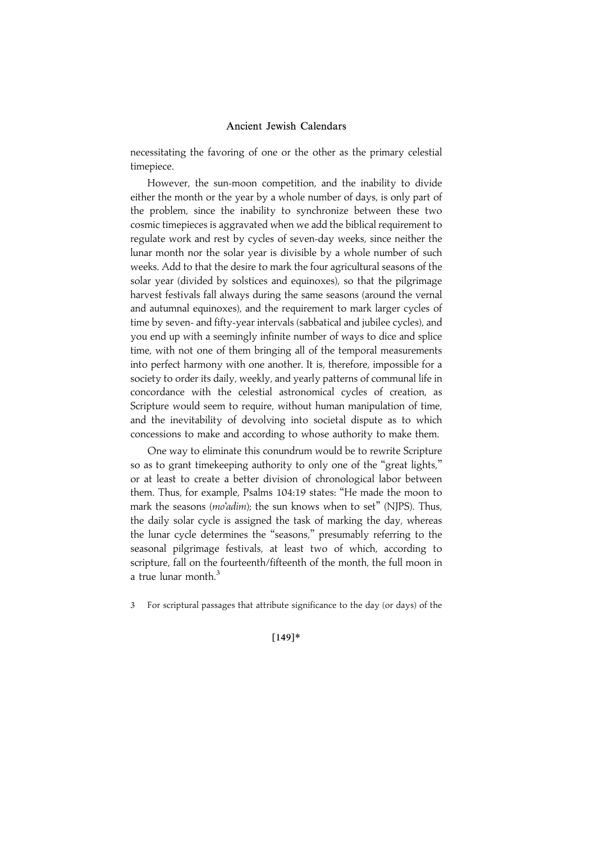necessitating the favoring of one or the other as the primary celestial timepiece.

However, the sun-moon competition, and the inability to divide either the month or the year by a whole number of days, is only part of the problem, since the inability to synchronize between these two cosmic timepieces is aggravated when we add the biblical requirement to regulate work and rest by cycles of seven-day weeks, since neither the lunar month nor the solar year is divisible by a whole number of such weeks. Add to that the desire to mark the four agricultural seasons of the solar year (divided by solstices and equinoxes), so that the pilgrimage harvest festivals fall always during the same seasons (around the vernal and autumnal equinoxes), and the requirement to mark larger cycles of time by seven- and fifty-year intervals (sabbatical and jubilee cycles), and you end up with a seemingly infinite number of ways to dice and splice time, with not one of them bringing all of the temporal measurements into perfect harmony with one another. It is, therefore, impossible for a society to order its daily, weekly, and yearly patterns of communal life in concordance with the celestial astronomical cycles of creation, as Scripture would seem to require, without human manipulation of time, and the inevitability of devolving into societal dispute as to which concessions to make and according to whose authority to make them.

One way to eliminate this conundrum would be to rewrite Scripture so as to grant timekeeping authority to only one of the ''great lights,'' or at least to create a better division of chronological labor between them. Thus, for example, Psalms 104:19 states: ''He made the moon to mark the seasons (mo'adim); the sun knows when to set" (NJPS). Thus, the daily solar cycle is assigned the task of marking the day, whereas the lunar cycle determines the ''seasons,'' presumably referring to the seasonal pilgrimage festivals, at least two of which, according to scripture, fall on the fourteenth/fifteenth of the month, the full moon in a true lunar month. $3$ 

3 For scriptural passages that attribute significance to the day (or days) of the

 $[149]*$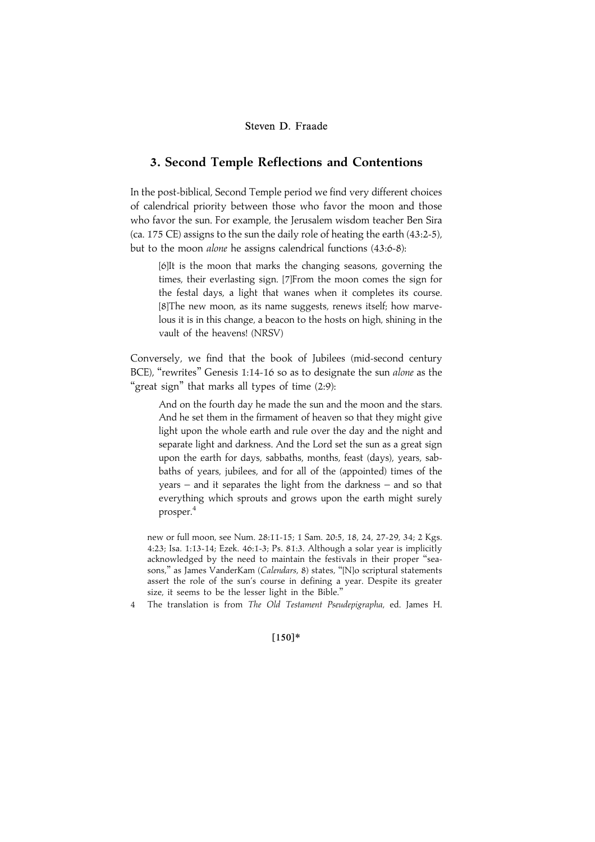# 3. Second Temple Reflections and Contentions

In the post-biblical, Second Temple period we find very different choices of calendrical priority between those who favor the moon and those who favor the sun. For example, the Jerusalem wisdom teacher Ben Sira (ca. 175 CE) assigns to the sun the daily role of heating the earth (43:2-5), but to the moon alone he assigns calendrical functions (43:6-8):

[6]It is the moon that marks the changing seasons, governing the times, their everlasting sign. [7]From the moon comes the sign for the festal days, a light that wanes when it completes its course. [8]The new moon, as its name suggests, renews itself; how marvelous it is in this change, a beacon to the hosts on high, shining in the vault of the heavens! (NRSV)

Conversely, we find that the book of Jubilees (mid-second century BCE), "rewrites" Genesis 1:14-16 so as to designate the sun alone as the "great sign" that marks all types of time (2:9):

And on the fourth day he made the sun and the moon and the stars. And he set them in the firmament of heaven so that they might give light upon the whole earth and rule over the day and the night and separate light and darkness. And the Lord set the sun as a great sign upon the earth for days, sabbaths, months, feast (days), years, sabbaths of years, jubilees, and for all of the (appointed) times of the years – and it separates the light from the darkness – and so that everything which sprouts and grows upon the earth might surely prosper.4

new or full moon, see Num. 28:11-15; 1 Sam. 20:5, 18, 24, 27-29, 34; 2 Kgs. 4:23; Isa. 1:13-14; Ezek. 46:1-3; Ps. 81:3. Although a solar year is implicitly acknowledged by the need to maintain the festivals in their proper "seasons,'' as James VanderKam (Calendars, 8) states, ''[N]o scriptural statements assert the role of the sun's course in defining a year. Despite its greater size, it seems to be the lesser light in the Bible.''

4 The translation is from The Old Testament Pseudepigrapha, ed. James H.

#### $[150]*$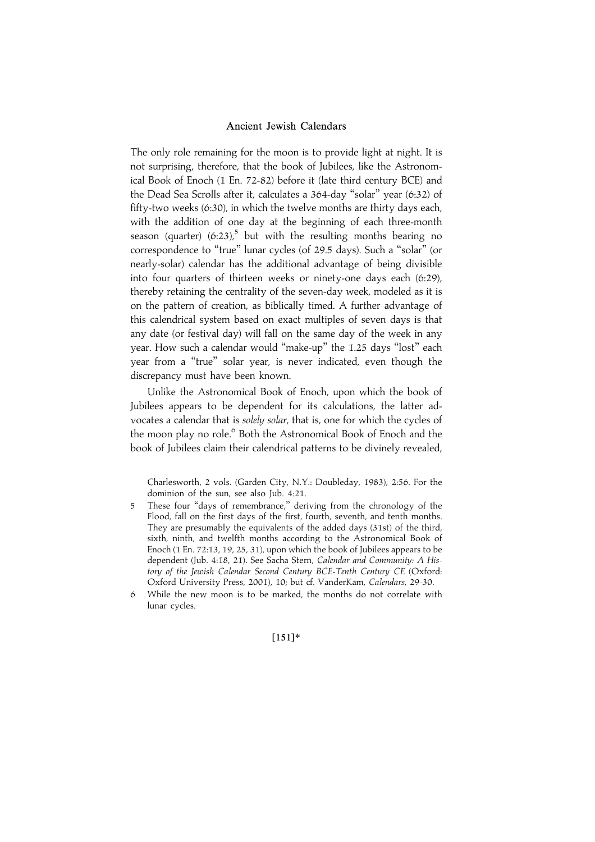The only role remaining for the moon is to provide light at night. It is not surprising, therefore, that the book of Jubilees, like the Astronomical Book of Enoch (1 En. 72-82) before it (late third century BCE) and the Dead Sea Scrolls after it, calculates a 364-day ''solar'' year (6:32) of fifty-two weeks (6:30), in which the twelve months are thirty days each, with the addition of one day at the beginning of each three-month season (quarter)  $(6:23)^5$  but with the resulting months bearing no correspondence to ''true'' lunar cycles (of 29.5 days). Such a ''solar'' (or nearly-solar) calendar has the additional advantage of being divisible into four quarters of thirteen weeks or ninety-one days each (6:29), thereby retaining the centrality of the seven-day week, modeled as it is on the pattern of creation, as biblically timed. A further advantage of this calendrical system based on exact multiples of seven days is that any date (or festival day) will fall on the same day of the week in any year. How such a calendar would "make-up" the 1.25 days "lost" each year from a ''true'' solar year, is never indicated, even though the discrepancy must have been known.

Unlike the Astronomical Book of Enoch, upon which the book of Jubilees appears to be dependent for its calculations, the latter advocates a calendar that is solely solar, that is, one for which the cycles of the moon play no role.<sup>6</sup> Both the Astronomical Book of Enoch and the book of Jubilees claim their calendrical patterns to be divinely revealed,

Charlesworth, 2 vols. (Garden City, N.Y.: Doubleday, 1983), 2:56. For the dominion of the sun, see also Jub. 4:21.

- 5 These four "days of remembrance," deriving from the chronology of the Flood, fall on the first days of the first, fourth, seventh, and tenth months. They are presumably the equivalents of the added days (31st) of the third, sixth, ninth, and twelfth months according to the Astronomical Book of Enoch (1 En. 72:13, 19, 25, 31), upon which the book of Jubilees appears to be dependent (Jub. 4:18, 21). See Sacha Stern, Calendar and Community: A History of the Jewish Calendar Second Century BCE-Tenth Century CE (Oxford: Oxford University Press, 2001), 10; but cf. VanderKam, Calendars, 29-30.
- 6 While the new moon is to be marked, the months do not correlate with lunar cycles.

#### $[151]*$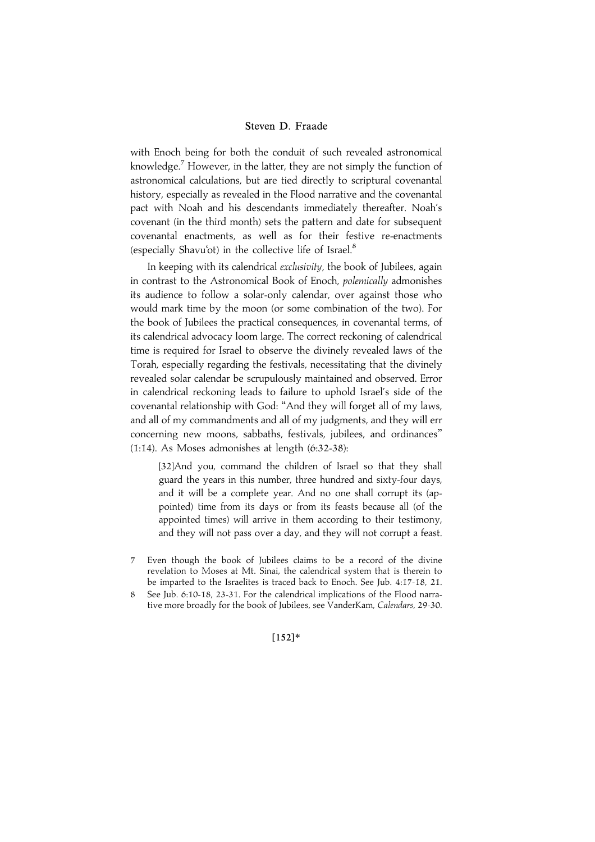with Enoch being for both the conduit of such revealed astronomical knowledge.<sup>7</sup> However, in the latter, they are not simply the function of astronomical calculations, but are tied directly to scriptural covenantal history, especially as revealed in the Flood narrative and the covenantal pact with Noah and his descendants immediately thereafter. Noah's covenant (in the third month) sets the pattern and date for subsequent covenantal enactments, as well as for their festive re-enactments (especially Shavu'ot) in the collective life of Israel. $8$ 

In keeping with its calendrical exclusivity, the book of Jubilees, again in contrast to the Astronomical Book of Enoch, polemically admonishes its audience to follow a solar-only calendar, over against those who would mark time by the moon (or some combination of the two). For the book of Jubilees the practical consequences, in covenantal terms, of its calendrical advocacy loom large. The correct reckoning of calendrical time is required for Israel to observe the divinely revealed laws of the Torah, especially regarding the festivals, necessitating that the divinely revealed solar calendar be scrupulously maintained and observed. Error in calendrical reckoning leads to failure to uphold Israel's side of the covenantal relationship with God: ''And they will forget all of my laws, and all of my commandments and all of my judgments, and they will err concerning new moons, sabbaths, festivals, jubilees, and ordinances'' (1:14). As Moses admonishes at length (6:32-38):

[32]And you, command the children of Israel so that they shall guard the years in this number, three hundred and sixty-four days, and it will be a complete year. And no one shall corrupt its (appointed) time from its days or from its feasts because all (of the appointed times) will arrive in them according to their testimony, and they will not pass over a day, and they will not corrupt a feast.

#### $[152]*$

Even though the book of Jubilees claims to be a record of the divine revelation to Moses at Mt. Sinai, the calendrical system that is therein to be imparted to the Israelites is traced back to Enoch. See Jub. 4:17-18, 21.

See Jub. 6:10-18, 23-31. For the calendrical implications of the Flood narrative more broadly for the book of Jubilees, see VanderKam, Calendars, 29-30.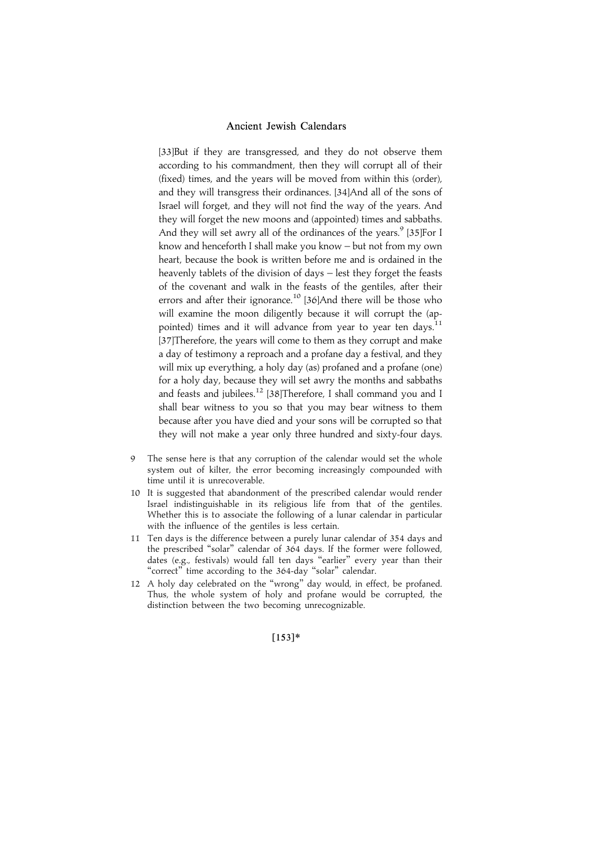[33]But if they are transgressed, and they do not observe them according to his commandment, then they will corrupt all of their (fixed) times, and the years will be moved from within this (order), and they will transgress their ordinances. [34]And all of the sons of Israel will forget, and they will not find the way of the years. And they will forget the new moons and (appointed) times and sabbaths. And they will set awry all of the ordinances of the years. $9$  [35]For I know and henceforth I shall make you know – but not from my own heart, because the book is written before me and is ordained in the heavenly tablets of the division of days – lest they forget the feasts of the covenant and walk in the feasts of the gentiles, after their errors and after their ignorance.<sup>10</sup> [36]And there will be those who will examine the moon diligently because it will corrupt the (appointed) times and it will advance from year to year ten days.<sup>11</sup> [37]Therefore, the years will come to them as they corrupt and make a day of testimony a reproach and a profane day a festival, and they will mix up everything, a holy day (as) profaned and a profane (one) for a holy day, because they will set awry the months and sabbaths and feasts and jubilees.<sup>12</sup> [38]Therefore, I shall command you and I shall bear witness to you so that you may bear witness to them because after you have died and your sons will be corrupted so that they will not make a year only three hundred and sixty-four days.

- The sense here is that any corruption of the calendar would set the whole system out of kilter, the error becoming increasingly compounded with time until it is unrecoverable.
- 10 It is suggested that abandonment of the prescribed calendar would render Israel indistinguishable in its religious life from that of the gentiles. Whether this is to associate the following of a lunar calendar in particular with the influence of the gentiles is less certain.
- 11 Ten days is the difference between a purely lunar calendar of 354 days and the prescribed ''solar'' calendar of 364 days. If the former were followed, dates (e.g., festivals) would fall ten days ''earlier'' every year than their "correct" time according to the 364-day "solar" calendar.
- 12 A holy day celebrated on the ''wrong'' day would, in effect, be profaned. Thus, the whole system of holy and profane would be corrupted, the distinction between the two becoming unrecognizable.

#### $[153]*$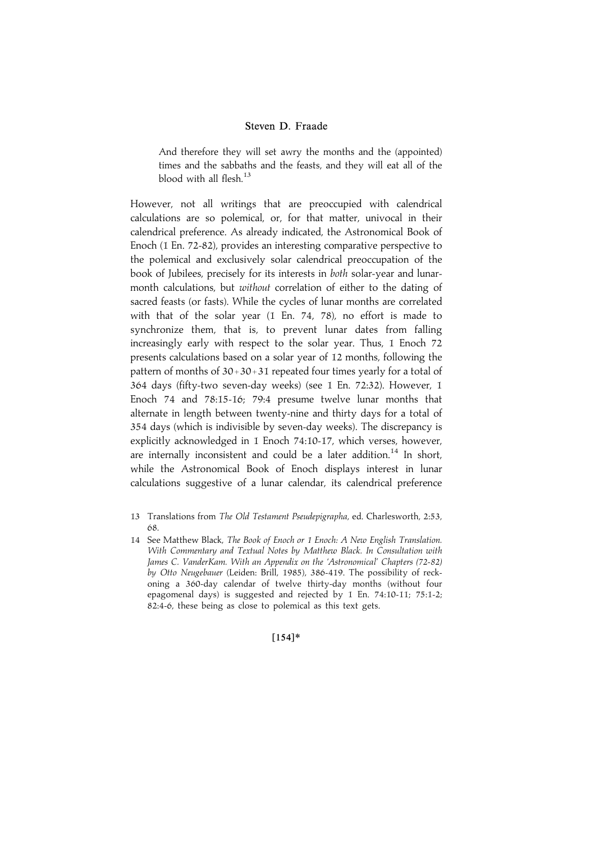And therefore they will set awry the months and the (appointed) times and the sabbaths and the feasts, and they will eat all of the blood with all flesh.<sup>13</sup>

However, not all writings that are preoccupied with calendrical calculations are so polemical, or, for that matter, univocal in their calendrical preference. As already indicated, the Astronomical Book of Enoch (1 En. 72-82), provides an interesting comparative perspective to the polemical and exclusively solar calendrical preoccupation of the book of Jubilees, precisely for its interests in both solar-year and lunarmonth calculations, but without correlation of either to the dating of sacred feasts (or fasts). While the cycles of lunar months are correlated with that of the solar year (1 En. 74, 78), no effort is made to synchronize them, that is, to prevent lunar dates from falling increasingly early with respect to the solar year. Thus, 1 Enoch 72 presents calculations based on a solar year of 12 months, following the pattern of months of  $30+30+31$  repeated four times yearly for a total of 364 days (fifty-two seven-day weeks) (see 1 En. 72:32). However, 1 Enoch 74 and 78:15-16; 79:4 presume twelve lunar months that alternate in length between twenty-nine and thirty days for a total of 354 days (which is indivisible by seven-day weeks). The discrepancy is explicitly acknowledged in 1 Enoch 74:10-17, which verses, however, are internally inconsistent and could be a later addition.<sup>14</sup> In short, while the Astronomical Book of Enoch displays interest in lunar calculations suggestive of a lunar calendar, its calendrical preference

 $[154]*$ 

<sup>13</sup> Translations from The Old Testament Pseudepigrapha, ed. Charlesworth, 2:53, 68.

<sup>14</sup> See Matthew Black, The Book of Enoch or 1 Enoch: A New English Translation. With Commentary and Textual Notes by Matthew Black. In Consultation with James C. VanderKam. With an Appendix on the 'Astronomical' Chapters (72-82) by Otto Neugebauer (Leiden: Brill, 1985), 386-419. The possibility of reckoning a 360-day calendar of twelve thirty-day months (without four epagomenal days) is suggested and rejected by 1 En. 74:10-11; 75:1-2; 82:4-6, these being as close to polemical as this text gets.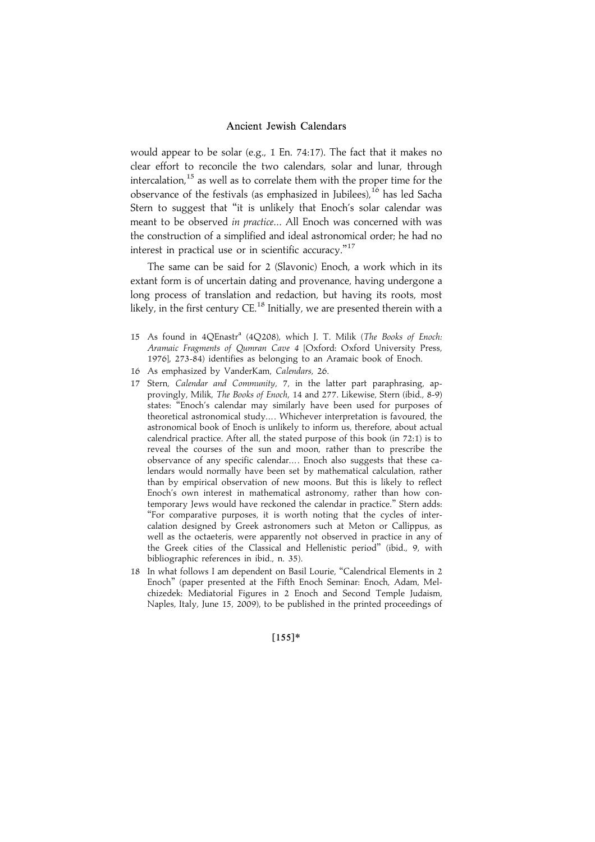would appear to be solar (e.g., 1 En. 74:17). The fact that it makes no clear effort to reconcile the two calendars, solar and lunar, through intercalation, $15$  as well as to correlate them with the proper time for the observance of the festivals (as emphasized in Jubilees),<sup>16</sup> has led Sacha Stern to suggest that "it is unlikely that Enoch's solar calendar was meant to be observed in practice... All Enoch was concerned with was the construction of a simplified and ideal astronomical order; he had no interest in practical use or in scientific accuracy."<sup>17</sup>

The same can be said for 2 (Slavonic) Enoch, a work which in its extant form is of uncertain dating and provenance, having undergone a long process of translation and redaction, but having its roots, most likely, in the first century  $CE$ .<sup>18</sup> Initially, we are presented therein with a

- 15 As found in 4OEnastr<sup>a</sup> (4O208), which J. T. Milik (The Books of Enoch: Aramaic Fragments of Qumran Cave 4 [Oxford: Oxford University Press, 1976], 273-84) identifies as belonging to an Aramaic book of Enoch.
- 16 As emphasized by VanderKam, Calendars, 26.
- 17 Stern, Calendar and Community, 7, in the latter part paraphrasing, approvingly, Milik, The Books of Enoch, 14 and 277. Likewise, Stern (ibid., 8-9) states: ''Enoch's calendar may similarly have been used for purposes of theoretical astronomical study... . Whichever interpretation is favoured, the astronomical book of Enoch is unlikely to inform us, therefore, about actual calendrical practice. After all, the stated purpose of this book (in 72:1) is to reveal the courses of the sun and moon, rather than to prescribe the observance of any specific calendar... . Enoch also suggests that these calendars would normally have been set by mathematical calculation, rather than by empirical observation of new moons. But this is likely to reflect Enoch's own interest in mathematical astronomy, rather than how contemporary Jews would have reckoned the calendar in practice.'' Stern adds: ''For comparative purposes, it is worth noting that the cycles of intercalation designed by Greek astronomers such at Meton or Callippus, as well as the octaeteris, were apparently not observed in practice in any of the Greek cities of the Classical and Hellenistic period'' (ibid., 9, with bibliographic references in ibid., n. 35).
- 18 In what follows I am dependent on Basil Lourie, ''Calendrical Elements in 2 Enoch'' (paper presented at the Fifth Enoch Seminar: Enoch, Adam, Melchizedek: Mediatorial Figures in 2 Enoch and Second Temple Judaism, Naples, Italy, June 15, 2009), to be published in the printed proceedings of

#### $[155]*$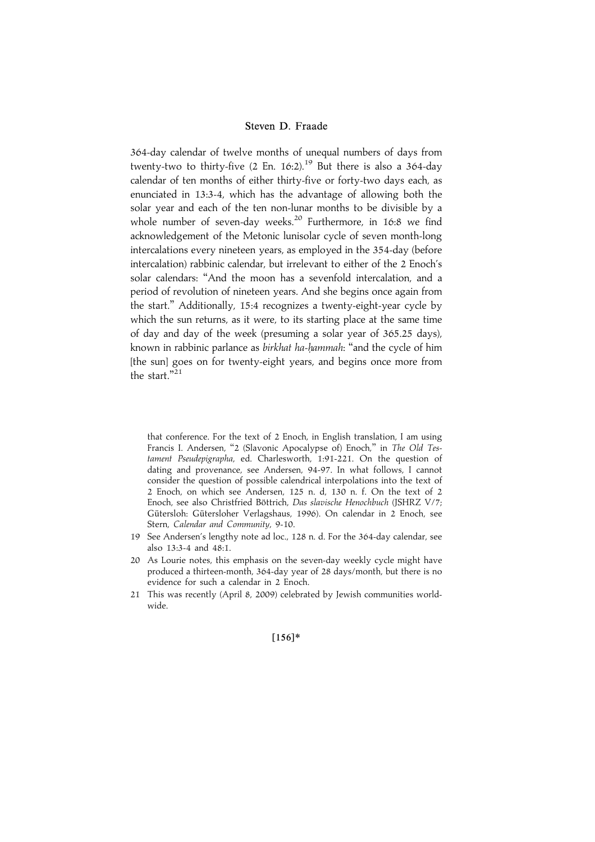364-day calendar of twelve months of unequal numbers of days from twenty-two to thirty-five (2 En. 16:2).<sup>19</sup> But there is also a 364-day calendar of ten months of either thirty-five or forty-two days each, as enunciated in 13:3-4, which has the advantage of allowing both the solar year and each of the ten non-lunar months to be divisible by a whole number of seven-day weeks.<sup>20</sup> Furthermore, in 16:8 we find acknowledgement of the Metonic lunisolar cycle of seven month-long intercalations every nineteen years, as employed in the 354-day (before intercalation) rabbinic calendar, but irrelevant to either of the 2 Enoch's solar calendars: ''And the moon has a sevenfold intercalation, and a period of revolution of nineteen years. And she begins once again from the start.'' Additionally, 15:4 recognizes a twenty-eight-year cycle by which the sun returns, as it were, to its starting place at the same time of day and day of the week (presuming a solar year of 365.25 days), known in rabbinic parlance as birkhat ha-hammah: "and the cycle of him [the sun] goes on for twenty-eight years, and begins once more from the start." $21$ 

that conference. For the text of 2 Enoch, in English translation, I am using Francis I. Andersen, "2 (Slavonic Apocalypse of) Enoch," in The Old Testament Pseudepigrapha, ed. Charlesworth, 1:91-221. On the question of dating and provenance, see Andersen, 94-97. In what follows, I cannot consider the question of possible calendrical interpolations into the text of 2 Enoch, on which see Andersen, 125 n. d, 130 n. f. On the text of 2 Enoch, see also Christfried Böttrich, Das slavische Henochbuch (ISHRZ V/7; Gütersloh: Gütersloher Verlagshaus, 1996). On calendar in 2 Enoch, see Stern, Calendar and Community, 9-10.

- 19 See Andersen's lengthy note ad loc., 128 n. d. For the 364-day calendar, see also 13:3-4 and 48:1.
- 20 As Lourie notes, this emphasis on the seven-day weekly cycle might have produced a thirteen-month, 364-day year of 28 days/month, but there is no evidence for such a calendar in 2 Enoch.
- 21 This was recently (April 8, 2009) celebrated by Jewish communities worldwide.

#### $[156]*$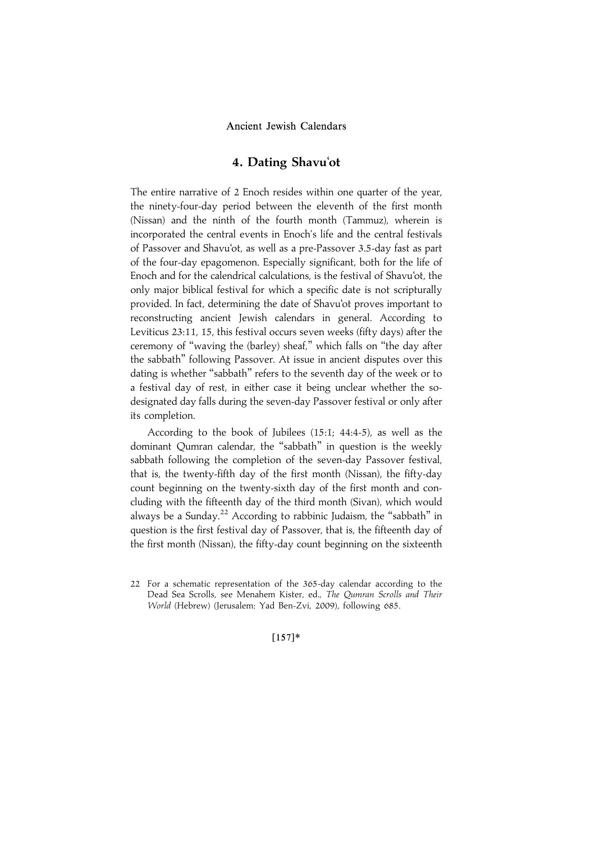# 4. Dating Shavu'ot

The entire narrative of 2 Enoch resides within one quarter of the year, the ninety-four-day period between the eleventh of the first month (Nissan) and the ninth of the fourth month (Tammuz), wherein is incorporated the central events in Enoch's life and the central festivals of Passover and Shavu'ot, as well as a pre-Passover 3.5-day fast as part of the four-day epagomenon. Especially significant, both for the life of Enoch and for the calendrical calculations, is the festival of Shavu'ot, the only major biblical festival for which a specific date is not scripturally provided. In fact, determining the date of Shavu'ot proves important to reconstructing ancient Jewish calendars in general. According to Leviticus 23:11, 15, this festival occurs seven weeks (fifty days) after the ceremony of ''waving the (barley) sheaf,'' which falls on ''the day after the sabbath'' following Passover. At issue in ancient disputes over this dating is whether ''sabbath'' refers to the seventh day of the week or to a festival day of rest, in either case it being unclear whether the sodesignated day falls during the seven-day Passover festival or only after its completion.

According to the book of Jubilees (15:1; 44:4-5), as well as the dominant Qumran calendar, the ''sabbath'' in question is the weekly sabbath following the completion of the seven-day Passover festival, that is, the twenty-fifth day of the first month (Nissan), the fifty-day count beginning on the twenty-sixth day of the first month and concluding with the fifteenth day of the third month (Sivan), which would always be a Sunday.<sup>22</sup> According to rabbinic Judaism, the "sabbath" in question is the first festival day of Passover, that is, the fifteenth day of the first month (Nissan), the fifty-day count beginning on the sixteenth

#### $[157]*$

<sup>22</sup> For a schematic representation of the 365-day calendar according to the Dead Sea Scrolls, see Menahem Kister, ed., The Qumran Scrolls and Their World (Hebrew) (Jerusalem: Yad Ben-Zvi, 2009), following 685.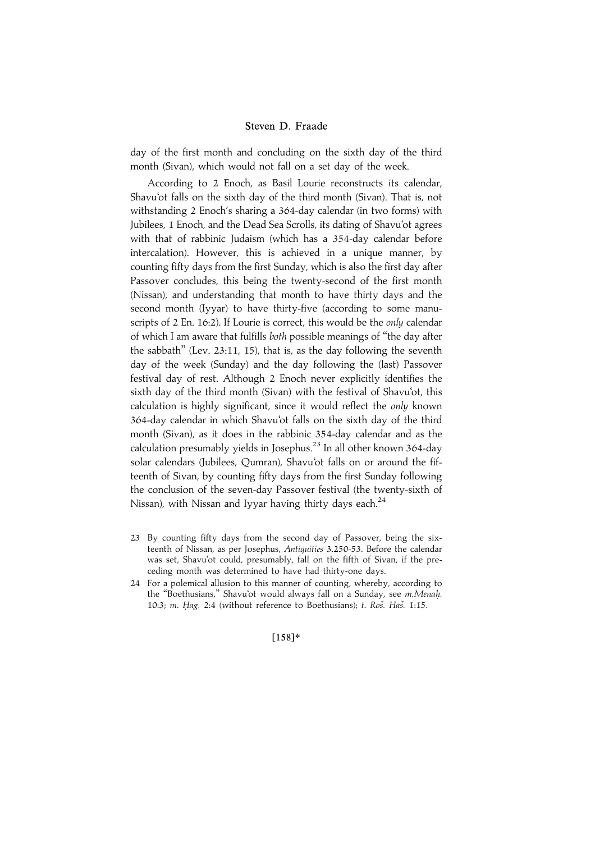day of the first month and concluding on the sixth day of the third month (Sivan), which would not fall on a set day of the week.

According to 2 Enoch, as Basil Lourie reconstructs its calendar, Shavu'ot falls on the sixth day of the third month (Sivan). That is, not withstanding 2 Enoch's sharing a 364-day calendar (in two forms) with Jubilees, 1 Enoch, and the Dead Sea Scrolls, its dating of Shavu'ot agrees with that of rabbinic Judaism (which has a 354-day calendar before intercalation). However, this is achieved in a unique manner, by counting fifty days from the first Sunday, which is also the first day after Passover concludes, this being the twenty-second of the first month (Nissan), and understanding that month to have thirty days and the second month (Iyyar) to have thirty-five (according to some manuscripts of 2 En. 16:2). If Lourie is correct, this would be the only calendar of which I am aware that fulfills *both* possible meanings of "the day after the sabbath'' (Lev. 23:11, 15), that is, as the day following the seventh day of the week (Sunday) and the day following the (last) Passover festival day of rest. Although 2 Enoch never explicitly identifies the sixth day of the third month (Sivan) with the festival of Shavu'ot, this calculation is highly significant, since it would reflect the *only* known 364-day calendar in which Shavu'ot falls on the sixth day of the third month (Sivan), as it does in the rabbinic 354-day calendar and as the calculation presumably yields in Josephus.<sup>23</sup> In all other known 364-day solar calendars (Jubilees, Qumran), Shavu'ot falls on or around the fifteenth of Sivan, by counting fifty days from the first Sunday following the conclusion of the seven-day Passover festival (the twenty-sixth of Nissan), with Nissan and Iyyar having thirty days each. $^{24}$ 

- 23 By counting fifty days from the second day of Passover, being the sixteenth of Nissan, as per Josephus, Antiquities 3.250-53. Before the calendar was set, Shavu'ot could, presumably, fall on the fifth of Sivan, if the preceding month was determined to have had thirty-one days.
- 24 For a polemical allusion to this manner of counting, whereby, according to the "Boethusians," Shavu'ot would always fall on a Sunday, see m.Menah. 10:3; m. Hag. 2:4 (without reference to Boethusians); t. Roš. Haš. 1:15.

 $[158]*$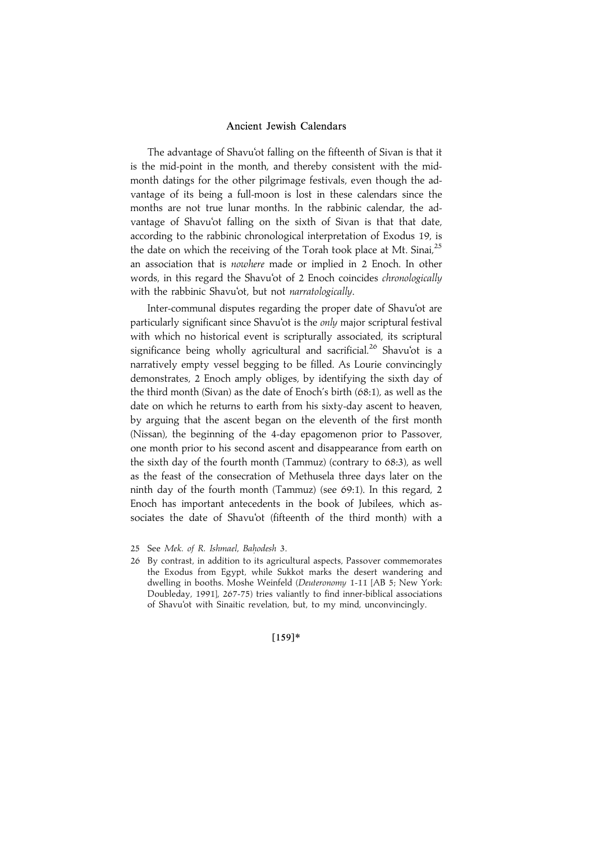The advantage of Shavu'ot falling on the fifteenth of Sivan is that it is the mid-point in the month, and thereby consistent with the midmonth datings for the other pilgrimage festivals, even though the advantage of its being a full-moon is lost in these calendars since the months are not true lunar months. In the rabbinic calendar, the advantage of Shavu'ot falling on the sixth of Sivan is that that date, according to the rabbinic chronological interpretation of Exodus 19, is the date on which the receiving of the Torah took place at Mt. Sinai,<sup>25</sup> an association that is nowhere made or implied in 2 Enoch. In other words, in this regard the Shavu'ot of 2 Enoch coincides chronologically with the rabbinic Shavu'ot, but not narratologically.

Inter-communal disputes regarding the proper date of Shavu'ot are particularly significant since Shavu'ot is the only major scriptural festival with which no historical event is scripturally associated, its scriptural significance being wholly agricultural and sacrificial.<sup>26</sup> Shavu'ot is a narratively empty vessel begging to be filled. As Lourie convincingly demonstrates, 2 Enoch amply obliges, by identifying the sixth day of the third month (Sivan) as the date of Enoch's birth (68:1), as well as the date on which he returns to earth from his sixty-day ascent to heaven, by arguing that the ascent began on the eleventh of the first month (Nissan), the beginning of the 4-day epagomenon prior to Passover, one month prior to his second ascent and disappearance from earth on the sixth day of the fourth month (Tammuz) (contrary to 68:3), as well as the feast of the consecration of Methusela three days later on the ninth day of the fourth month (Tammuz) (see 69:1). In this regard, 2 Enoch has important antecedents in the book of Jubilees, which associates the date of Shavu'ot (fifteenth of the third month) with a

 $[159]*$ 

<sup>25</sup> See Mek. of R. Ishmael, Bahodesh 3.

<sup>26</sup> By contrast, in addition to its agricultural aspects, Passover commemorates the Exodus from Egypt, while Sukkot marks the desert wandering and dwelling in booths. Moshe Weinfeld (Deuteronomy 1-11 [AB 5; New York: Doubleday, 1991], 267-75) tries valiantly to find inner-biblical associations of Shavu'ot with Sinaitic revelation, but, to my mind, unconvincingly.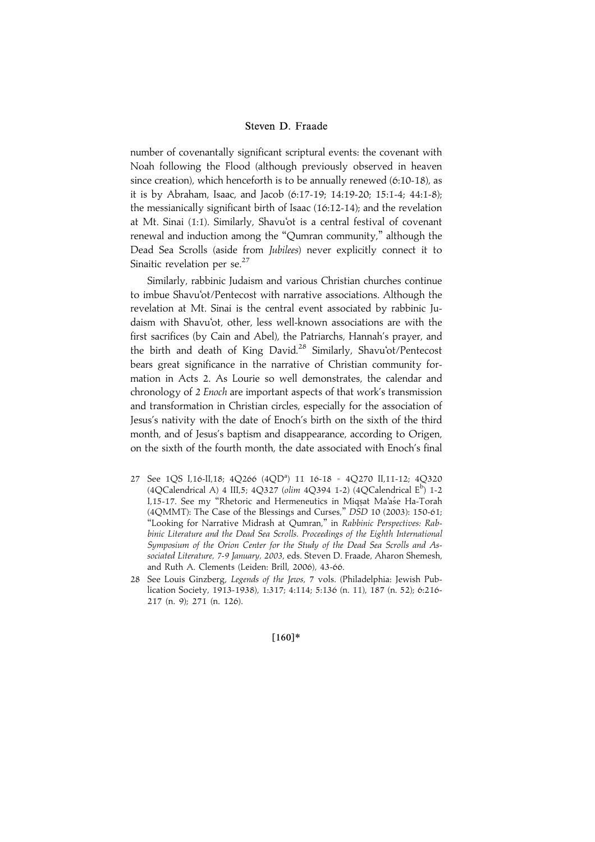number of covenantally significant scriptural events: the covenant with Noah following the Flood (although previously observed in heaven since creation), which henceforth is to be annually renewed (6:10-18), as it is by Abraham, Isaac, and Jacob (6:17-19; 14:19-20; 15:1-4; 44:1-8); the messianically significant birth of Isaac (16:12-14); and the revelation at Mt. Sinai (1:1). Similarly, Shavu'ot is a central festival of covenant renewal and induction among the ''Qumran community,'' although the Dead Sea Scrolls (aside from Jubilees) never explicitly connect it to Sinaitic revelation per se.<sup>27</sup>

Similarly, rabbinic Judaism and various Christian churches continue to imbue Shavu'ot/Pentecost with narrative associations. Although the revelation at Mt. Sinai is the central event associated by rabbinic Judaism with Shavu'ot, other, less well-known associations are with the first sacrifices (by Cain and Abel), the Patriarchs, Hannah's prayer, and the birth and death of King David.<sup>28</sup> Similarly, Shavu'ot/Pentecost bears great significance in the narrative of Christian community formation in Acts 2. As Lourie so well demonstrates, the calendar and chronology of 2 Enoch are important aspects of that work's transmission and transformation in Christian circles, especially for the association of Jesus's nativity with the date of Enoch's birth on the sixth of the third month, and of Jesus's baptism and disappearance, according to Origen, on the sixth of the fourth month, the date associated with Enoch's final

- 27 See 1QS I,16-II,18; 4Q266 (4QD<sup>a</sup>) 11 16-18 = 4Q270 II,11-12; 4Q320 (4QCalendrical A) 4 III,5; 4Q327 (olim 4Q394 1-2) (4QCalendrical  $E^b$ ) 1-2 I,15-17. See my "Rhetoric and Hermeneutics in Miqsat Ma'a'se Ha-Torah (4QMMT): The Case of the Blessings and Curses,'' DSD 10 (2003): 150-61; "Looking for Narrative Midrash at Qumran," in Rabbinic Perspectives: Rabbinic Literature and the Dead Sea Scrolls. Proceedings of the Eighth International Symposium of the Orion Center for the Study of the Dead Sea Scrolls and Associated Literature, 7-9 January, 2003, eds. Steven D. Fraade, Aharon Shemesh, and Ruth A. Clements (Leiden: Brill, 2006), 43-66.
- 28 See Louis Ginzberg, Legends of the Jews, 7 vols. (Philadelphia: Jewish Publication Society, 1913-1938), 1:317; 4:114; 5:136 (n. 11), 187 (n. 52); 6:216- 217 (n. 9); 271 (n. 126).

 $[160]*$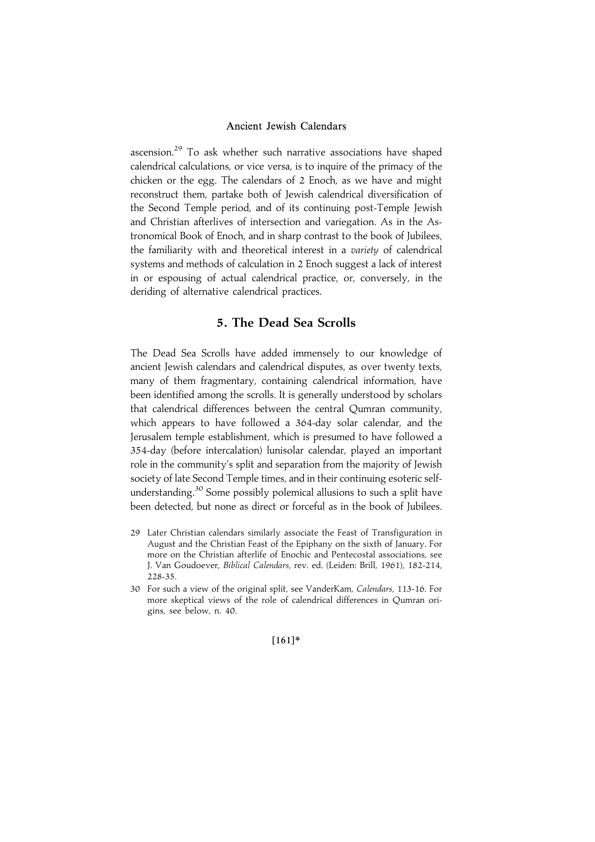ascension.<sup>29</sup> To ask whether such narrative associations have shaped calendrical calculations, or vice versa, is to inquire of the primacy of the chicken or the egg. The calendars of 2 Enoch, as we have and might reconstruct them, partake both of Jewish calendrical diversification of the Second Temple period, and of its continuing post-Temple Jewish and Christian afterlives of intersection and variegation. As in the Astronomical Book of Enoch, and in sharp contrast to the book of Jubilees, the familiarity with and theoretical interest in a variety of calendrical systems and methods of calculation in 2 Enoch suggest a lack of interest in or espousing of actual calendrical practice, or, conversely, in the deriding of alternative calendrical practices.

# 5. The Dead Sea Scrolls

The Dead Sea Scrolls have added immensely to our knowledge of ancient Jewish calendars and calendrical disputes, as over twenty texts, many of them fragmentary, containing calendrical information, have been identified among the scrolls. It is generally understood by scholars that calendrical differences between the central Qumran community, which appears to have followed a 364-day solar calendar, and the Jerusalem temple establishment, which is presumed to have followed a 354-day (before intercalation) lunisolar calendar, played an important role in the community's split and separation from the majority of Jewish society of late Second Temple times, and in their continuing esoteric selfunderstanding.<sup>30</sup> Some possibly polemical allusions to such a split have been detected, but none as direct or forceful as in the book of Jubilees.

- 29 Later Christian calendars similarly associate the Feast of Transfiguration in August and the Christian Feast of the Epiphany on the sixth of January. For more on the Christian afterlife of Enochic and Pentecostal associations, see J. Van Goudoever, Biblical Calendars, rev. ed. (Leiden: Brill, 1961), 182-214, 228-35.
- 30 For such a view of the original split, see VanderKam, Calendars, 113-16. For more skeptical views of the role of calendrical differences in Qumran origins, see below, n. 40.

#### $[161]*$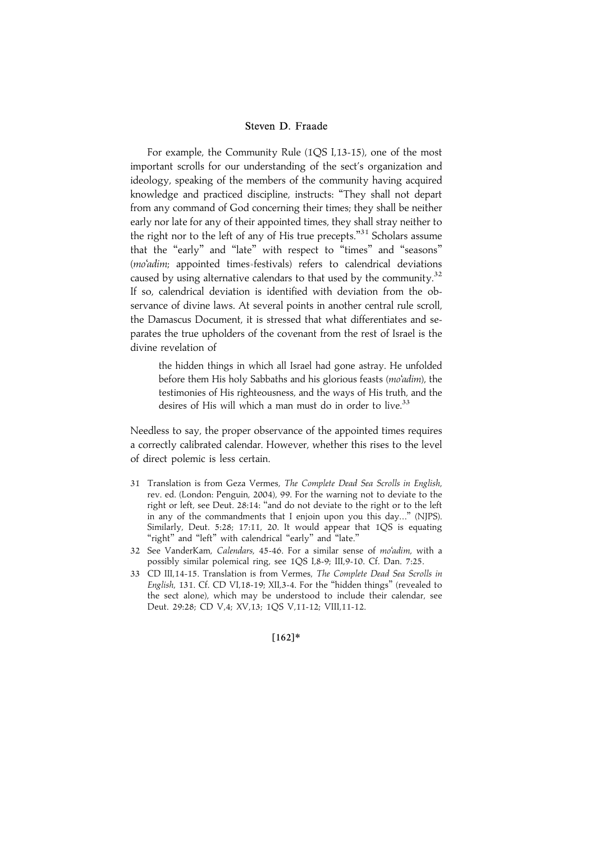For example, the Community Rule (1QS I,13-15), one of the most important scrolls for our understanding of the sect's organization and ideology, speaking of the members of the community having acquired knowledge and practiced discipline, instructs: ''They shall not depart from any command of God concerning their times; they shall be neither early nor late for any of their appointed times, they shall stray neither to the right nor to the left of any of His true precepts."<sup>31</sup> Scholars assume that the ''early'' and ''late'' with respect to ''times'' and ''seasons'' (mo'adim; appointed times=festivals) refers to calendrical deviations caused by using alternative calendars to that used by the community.<sup>32</sup> If so, calendrical deviation is identified with deviation from the observance of divine laws. At several points in another central rule scroll, the Damascus Document, it is stressed that what differentiates and separates the true upholders of the covenant from the rest of Israel is the divine revelation of

the hidden things in which all Israel had gone astray. He unfolded before them His holy Sabbaths and his glorious feasts (mo'adim), the testimonies of His righteousness, and the ways of His truth, and the desires of His will which a man must do in order to live.<sup>33</sup>

Needless to say, the proper observance of the appointed times requires a correctly calibrated calendar. However, whether this rises to the level of direct polemic is less certain.

- 31 Translation is from Geza Vermes, The Complete Dead Sea Scrolls in English, rev. ed. (London: Penguin, 2004), 99. For the warning not to deviate to the right or left, see Deut. 28:14: ''and do not deviate to the right or to the left in any of the commandments that I enjoin upon you this day...'' (NJPS). Similarly, Deut. 5:28; 17:11, 20. It would appear that 1QS is equating "right" and "left" with calendrical "early" and "late."
- 32 See VanderKam, Calendars, 45-46. For a similar sense of mo'adim, with a possibly similar polemical ring, see 1QS I,8-9; III,9-10. Cf. Dan. 7:25.
- 33 CD III,14-15. Translation is from Vermes, The Complete Dead Sea Scrolls in English, 131. Cf. CD VI,18-19; XII,3-4. For the ''hidden things'' (revealed to the sect alone), which may be understood to include their calendar, see Deut. 29:28; CD V,4; XV,13; 1QS V,11-12; VIII,11-12.

 $[162]*$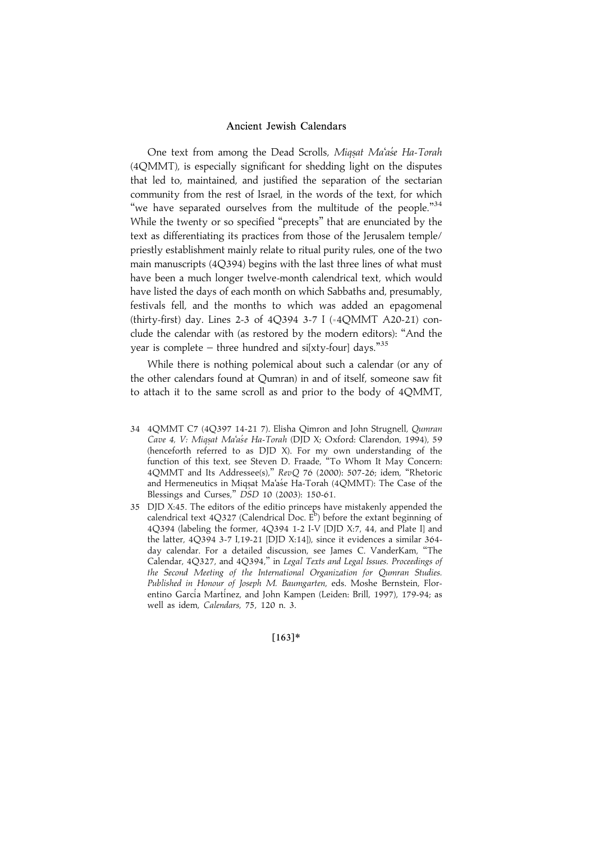One text from among the Dead Scrolls, Migsat Ma'a'se Ha-Torah (4QMMT), is especially significant for shedding light on the disputes that led to, maintained, and justified the separation of the sectarian community from the rest of Israel, in the words of the text, for which "we have separated ourselves from the multitude of the people."34 While the twenty or so specified "precepts" that are enunciated by the text as differentiating its practices from those of the Jerusalem temple/ priestly establishment mainly relate to ritual purity rules, one of the two main manuscripts (4Q394) begins with the last three lines of what must have been a much longer twelve-month calendrical text, which would have listed the days of each month on which Sabbaths and, presumably, festivals fell, and the months to which was added an epagomenal (thirty-first) day. Lines 2-3 of 4Q394 3-7 I (=4QMMT A20-21) conclude the calendar with (as restored by the modern editors): ''And the year is complete – three hundred and si[xty-four] days."<sup>35</sup>

While there is nothing polemical about such a calendar (or any of the other calendars found at Qumran) in and of itself, someone saw fit to attach it to the same scroll as and prior to the body of 4QMMT,

- 34 4QMMT C7 (4Q397 14-21 7). Elisha Qimron and John Strugnell, Qumran Cave 4, V: Migsat Ma'a'se Ha-Torah (DJD X; Oxford: Clarendon, 1994), 59 (henceforth referred to as DJD X). For my own understanding of the function of this text, see Steven D. Fraade, "To Whom It May Concern: 4QMMT and Its Addressee(s),'' RevQ 76 (2000): 507-26; idem, ''Rhetoric and Hermeneutics in Miqsat Ma'ase Ha-Torah (4QMMT): The Case of the Blessings and Curses,'' DSD 10 (2003): 150-61.
- 35 DJD X:45. The editors of the editio princeps have mistakenly appended the calendrical text 4Q327 (Calendrical Doc.  $\vec{E}^b$ ) before the extant beginning of 4Q394 (labeling the former, 4Q394 1-2 I-V [DJD X:7, 44, and Plate I] and the latter, 4Q394 3-7 I,19-21 [DJD X:14]), since it evidences a similar 364 day calendar. For a detailed discussion, see James C. VanderKam, ''The Calendar, 4Q327, and 4Q394," in Legal Texts and Legal Issues. Proceedings of the Second Meeting of the International Organization for Qumran Studies. Published in Honour of Joseph M. Baumgarten, eds. Moshe Bernstein, Florentino García Martínez, and John Kampen (Leiden: Brill, 1997), 179-94; as well as idem, Calendars, 75, 120 n. 3.

 $[163]*$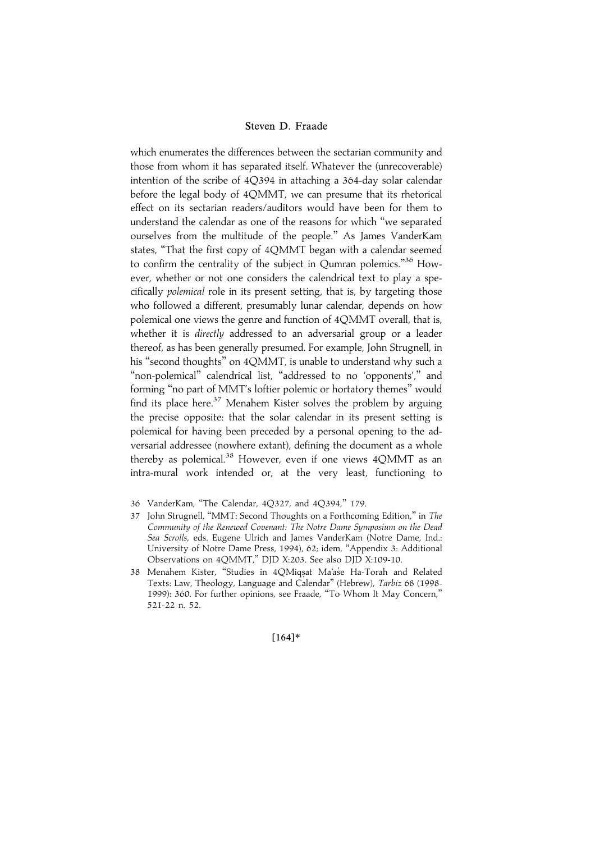which enumerates the differences between the sectarian community and those from whom it has separated itself. Whatever the (unrecoverable) intention of the scribe of 4Q394 in attaching a 364-day solar calendar before the legal body of 4QMMT, we can presume that its rhetorical effect on its sectarian readers/auditors would have been for them to understand the calendar as one of the reasons for which ''we separated ourselves from the multitude of the people.'' As James VanderKam states, "That the first copy of 4QMMT began with a calendar seemed to confirm the centrality of the subject in Qumran polemics."<sup>36</sup> However, whether or not one considers the calendrical text to play a specifically polemical role in its present setting, that is, by targeting those who followed a different, presumably lunar calendar, depends on how polemical one views the genre and function of 4QMMT overall, that is, whether it is *directly* addressed to an adversarial group or a leader thereof, as has been generally presumed. For example, John Strugnell, in his "second thoughts" on 4QMMT, is unable to understand why such a "non-polemical" calendrical list, "addressed to no 'opponents'," and forming ''no part of MMT's loftier polemic or hortatory themes'' would find its place here.<sup>37</sup> Menahem Kister solves the problem by arguing the precise opposite: that the solar calendar in its present setting is polemical for having been preceded by a personal opening to the adversarial addressee (nowhere extant), defining the document as a whole thereby as polemical.<sup>38</sup> However, even if one views 4QMMT as an intra-mural work intended or, at the very least, functioning to

#### $[164]*$

<sup>36</sup> VanderKam, ''The Calendar, 4Q327, and 4Q394,'' 179.

<sup>37</sup> John Strugnell, ''MMT: Second Thoughts on a Forthcoming Edition,'' in The Community of the Renewed Covenant: The Notre Dame Symposium on the Dead Sea Scrolls, eds. Eugene Ulrich and James VanderKam (Notre Dame, Ind.: University of Notre Dame Press, 1994), 62; idem, ''Appendix 3: Additional Observations on 4QMMT,'' DJD X:203. See also DJD X:109-10.

<sup>38</sup> Menahem Kister, "Studies in 4QMiqsat Ma'a'se Ha-Torah and Related Texts: Law, Theology, Language and Calendar'' (Hebrew), Tarbiz 68 (1998- 1999): 360. For further opinions, see Fraade, ''To Whom It May Concern,'' 521-22 n. 52.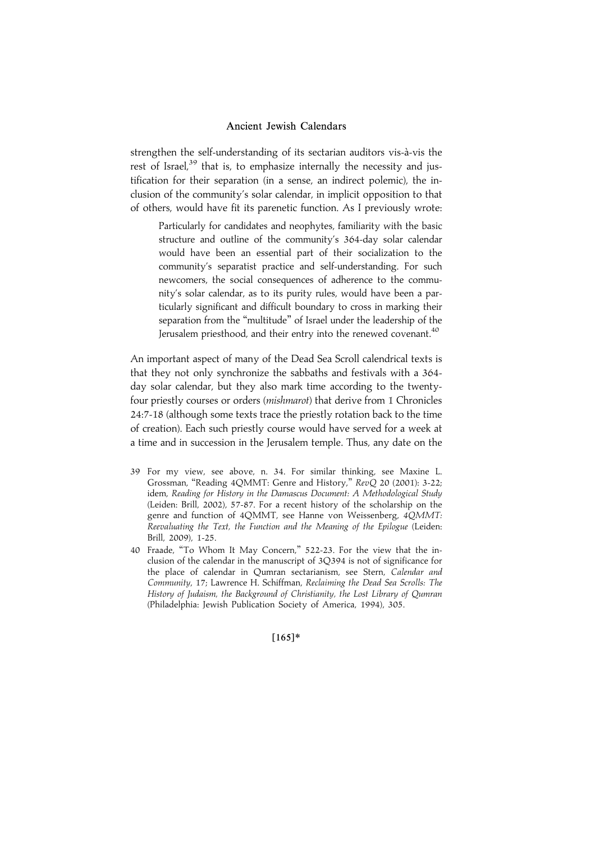strengthen the self-understanding of its sectarian auditors vis-à-vis the rest of Israel, $39$  that is, to emphasize internally the necessity and justification for their separation (in a sense, an indirect polemic), the inclusion of the community's solar calendar, in implicit opposition to that of others, would have fit its parenetic function. As I previously wrote:

Particularly for candidates and neophytes, familiarity with the basic structure and outline of the community's 364-day solar calendar would have been an essential part of their socialization to the community's separatist practice and self-understanding. For such newcomers, the social consequences of adherence to the community's solar calendar, as to its purity rules, would have been a particularly significant and difficult boundary to cross in marking their separation from the ''multitude'' of Israel under the leadership of the Jerusalem priesthood, and their entry into the renewed covenant.<sup>40</sup>

An important aspect of many of the Dead Sea Scroll calendrical texts is that they not only synchronize the sabbaths and festivals with a 364 day solar calendar, but they also mark time according to the twentyfour priestly courses or orders (mishmarot) that derive from 1 Chronicles 24:7-18 (although some texts trace the priestly rotation back to the time of creation). Each such priestly course would have served for a week at a time and in succession in the Jerusalem temple. Thus, any date on the

- 39 For my view, see above, n. 34. For similar thinking, see Maxine L. Grossman, ''Reading 4QMMT: Genre and History,'' RevQ 20 (2001): 3-22; idem, Reading for History in the Damascus Document: A Methodological Study (Leiden: Brill, 2002), 57-87. For a recent history of the scholarship on the genre and function of 4QMMT, see Hanne von Weissenberg, 4QMMT: Reevaluating the Text, the Function and the Meaning of the Epilogue (Leiden: Brill, 2009), 1-25.
- 40 Fraade, ''To Whom It May Concern,'' 522-23. For the view that the inclusion of the calendar in the manuscript of 3Q394 is not of significance for the place of calendar in Qumran sectarianism, see Stern, Calendar and Community, 17; Lawrence H. Schiffman, Reclaiming the Dead Sea Scrolls: The History of Judaism, the Background of Christianity, the Lost Library of Qumran (Philadelphia: Jewish Publication Society of America, 1994), 305.

 $[165]*$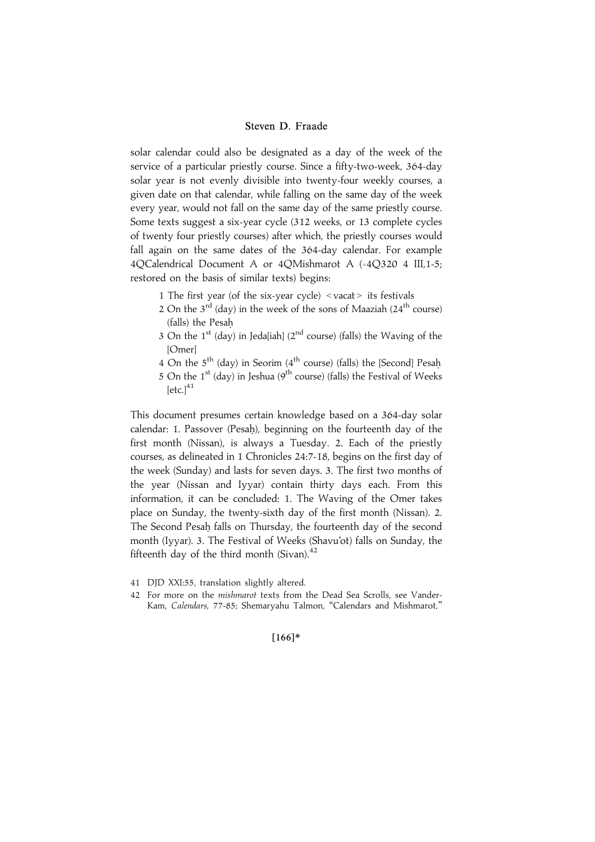solar calendar could also be designated as a day of the week of the service of a particular priestly course. Since a fifty-two-week, 364-day solar year is not evenly divisible into twenty-four weekly courses, a given date on that calendar, while falling on the same day of the week every year, would not fall on the same day of the same priestly course. Some texts suggest a six-year cycle (312 weeks, or 13 complete cycles of twenty four priestly courses) after which, the priestly courses would fall again on the same dates of the 364-day calendar. For example 4QCalendrical Document A or 4QMishmarot A (=4Q320 4 III,1-5; restored on the basis of similar texts) begins:

- 1 The first year (of the six-year cycle)  $\langle$  vacat $\rangle$  its festivals
- 2 On the  $3^{\text{rd}}$  (day) in the week of the sons of Maaziah (24<sup>th</sup> course) (falls) the Pesah.
- 3 On the  $1<sup>st</sup>$  (day) in Jeda[iah] ( $2<sup>nd</sup>$  course) (falls) the Waving of the [Omer]
- 4 On the  $5^{\text{th}}$  (day) in Seorim (4<sup>th</sup> course) (falls) the [Second] Pesah.
- 5 On the  $1^{\text{st}}$  (day) in Jeshua (9<sup>th</sup> course) (falls) the Festival of Weeks  $[etc.]<sup>41</sup>$

This document presumes certain knowledge based on a 364-day solar calendar: 1. Passover (Pesah), beginning on the fourteenth day of the first month (Nissan), is always a Tuesday. 2. Each of the priestly courses, as delineated in 1 Chronicles 24:7-18, begins on the first day of the week (Sunday) and lasts for seven days. 3. The first two months of the year (Nissan and Iyyar) contain thirty days each. From this information, it can be concluded: 1. The Waving of the Omer takes place on Sunday, the twenty-sixth day of the first month (Nissan). 2. The Second Pesah. falls on Thursday, the fourteenth day of the second month (Iyyar). 3. The Festival of Weeks (Shavu'ot) falls on Sunday, the fifteenth day of the third month  $(Sivan)^{42}$ 

- 41 DJD XXI:55, translation slightly altered.
- 42 For more on the mishmarot texts from the Dead Sea Scrolls, see Vander-Kam, Calendars, 77-85; Shemaryahu Talmon, ''Calendars and Mishmarot,''

#### $[166]*$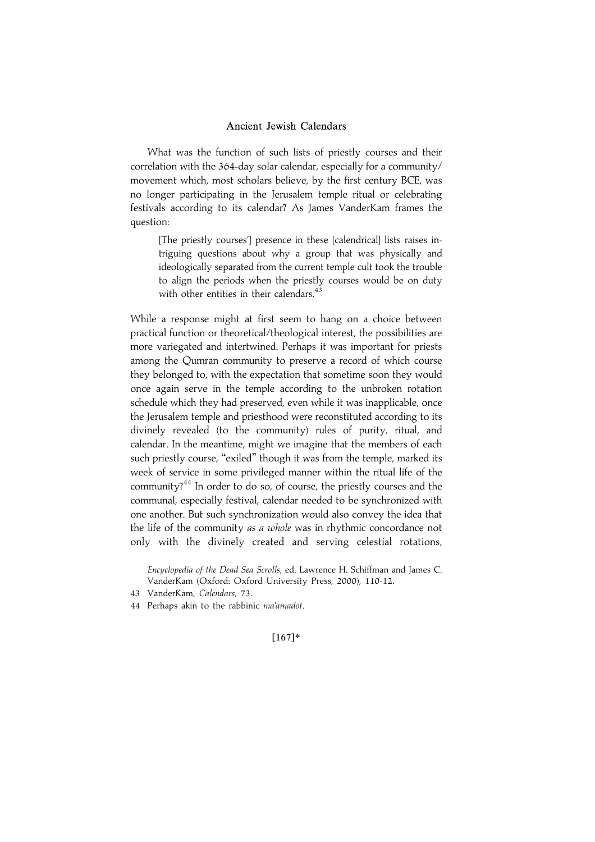What was the function of such lists of priestly courses and their correlation with the 364-day solar calendar, especially for a community/ movement which, most scholars believe, by the first century BCE, was no longer participating in the Jerusalem temple ritual or celebrating festivals according to its calendar? As James VanderKam frames the question:

[The priestly courses'] presence in these [calendrical] lists raises intriguing questions about why a group that was physically and ideologically separated from the current temple cult took the trouble to align the periods when the priestly courses would be on duty with other entities in their calendars. $43$ 

While a response might at first seem to hang on a choice between practical function or theoretical/theological interest, the possibilities are more variegated and intertwined. Perhaps it was important for priests among the Qumran community to preserve a record of which course they belonged to, with the expectation that sometime soon they would once again serve in the temple according to the unbroken rotation schedule which they had preserved, even while it was inapplicable, once the Jerusalem temple and priesthood were reconstituted according to its divinely revealed (to the community) rules of purity, ritual, and calendar. In the meantime, might we imagine that the members of each such priestly course, "exiled" though it was from the temple, marked its week of service in some privileged manner within the ritual life of the community?<sup>44</sup> In order to do so, of course, the priestly courses and the communal, especially festival, calendar needed to be synchronized with one another. But such synchronization would also convey the idea that the life of the community *as a whole* was in rhythmic concordance not only with the divinely created and serving celestial rotations,

Encyclopedia of the Dead Sea Scrolls, ed. Lawrence H. Schiffman and James C. VanderKam (Oxford: Oxford University Press, 2000), 110-12.

- 43 VanderKam, Calendars, 73.
- 44 Perhaps akin to the rabbinic ma'amadot.

 $[167]*$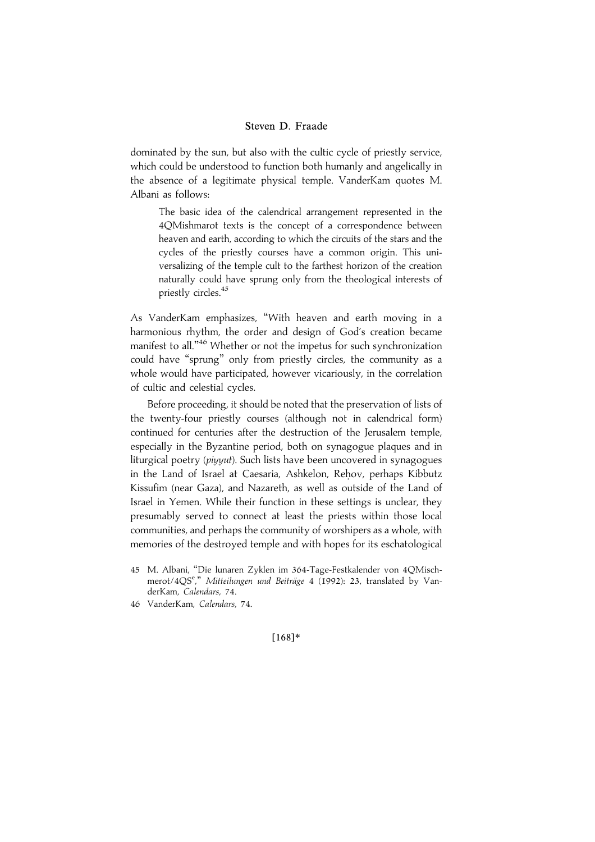dominated by the sun, but also with the cultic cycle of priestly service, which could be understood to function both humanly and angelically in the absence of a legitimate physical temple. VanderKam quotes M. Albani as follows:

The basic idea of the calendrical arrangement represented in the 4QMishmarot texts is the concept of a correspondence between heaven and earth, according to which the circuits of the stars and the cycles of the priestly courses have a common origin. This universalizing of the temple cult to the farthest horizon of the creation naturally could have sprung only from the theological interests of priestly circles.<sup>45</sup>

As VanderKam emphasizes, ''With heaven and earth moving in a harmonious rhythm, the order and design of God's creation became manifest to all."<sup>46</sup> Whether or not the impetus for such synchronization could have ''sprung'' only from priestly circles, the community as a whole would have participated, however vicariously, in the correlation of cultic and celestial cycles.

Before proceeding, it should be noted that the preservation of lists of the twenty-four priestly courses (although not in calendrical form) continued for centuries after the destruction of the Jerusalem temple, especially in the Byzantine period, both on synagogue plaques and in liturgical poetry (piyyut). Such lists have been uncovered in synagogues in the Land of Israel at Caesaria, Ashkelon, Rehov, perhaps Kibbutz Kissufim (near Gaza), and Nazareth, as well as outside of the Land of Israel in Yemen. While their function in these settings is unclear, they presumably served to connect at least the priests within those local communities, and perhaps the community of worshipers as a whole, with memories of the destroyed temple and with hopes for its eschatological

 $[168]*$ 

<sup>45</sup> M. Albani, ''Die lunaren Zyklen im 364-Tage-Festkalender von 4QMischmerot/4QSe," Mitteilungen und Beiträge 4 (1992): 23, translated by VanderKam, Calendars, 74.

<sup>46</sup> VanderKam, Calendars, 74.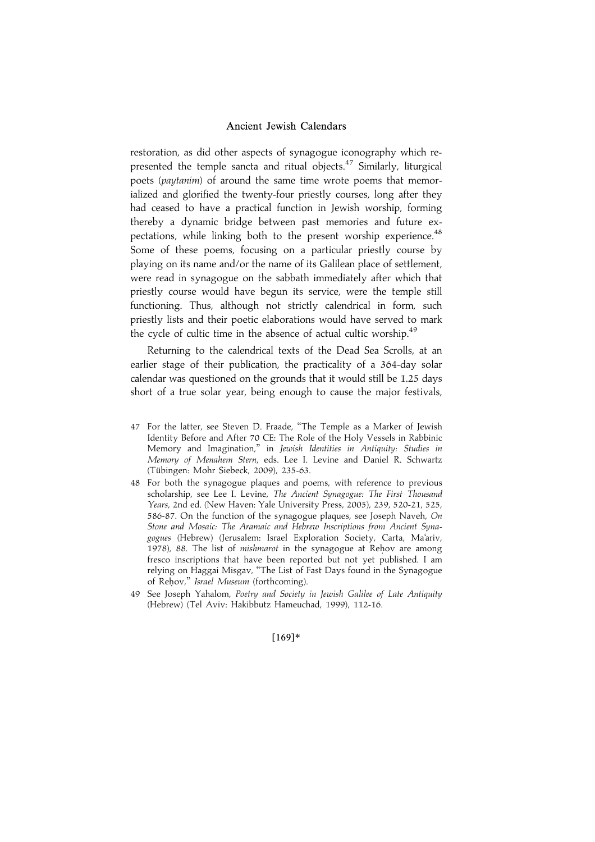restoration, as did other aspects of synagogue iconography which represented the temple sancta and ritual objects.<sup>47</sup> Similarly, liturgical poets (paytanim) of around the same time wrote poems that memorialized and glorified the twenty-four priestly courses, long after they had ceased to have a practical function in Jewish worship, forming thereby a dynamic bridge between past memories and future expectations, while linking both to the present worship experience.<sup>48</sup> Some of these poems, focusing on a particular priestly course by playing on its name and/or the name of its Galilean place of settlement, were read in synagogue on the sabbath immediately after which that priestly course would have begun its service, were the temple still functioning. Thus, although not strictly calendrical in form, such priestly lists and their poetic elaborations would have served to mark the cycle of cultic time in the absence of actual cultic worship.<sup>49</sup>

Returning to the calendrical texts of the Dead Sea Scrolls, at an earlier stage of their publication, the practicality of a 364-day solar calendar was questioned on the grounds that it would still be 1.25 days short of a true solar year, being enough to cause the major festivals,

- 47 For the latter, see Steven D. Fraade, ''The Temple as a Marker of Jewish Identity Before and After 70 CE: The Role of the Holy Vessels in Rabbinic Memory and Imagination,'' in Jewish Identities in Antiquity: Studies in Memory of Menahem Stern, eds. Lee I. Levine and Daniel R. Schwartz (Tübingen: Mohr Siebeck, 2009), 235-63.
- 48 For both the synagogue plaques and poems, with reference to previous scholarship, see Lee I. Levine, The Ancient Synagogue: The First Thousand Years, 2nd ed. (New Haven: Yale University Press, 2005), 239, 520-21, 525, 586-87. On the function of the synagogue plaques, see Joseph Naveh, On Stone and Mosaic: The Aramaic and Hebrew Inscriptions from Ancient Synagogues (Hebrew) (Jerusalem: Israel Exploration Society, Carta, Ma'ariv, 1978), 88. The list of mishmarot in the synagogue at Rehov are among fresco inscriptions that have been reported but not yet published. I am relying on Haggai Misgav, ''The List of Fast Days found in the Synagogue of Rehov," Israel Museum (forthcoming).
- 49 See Joseph Yahalom, Poetry and Society in Jewish Galilee of Late Antiquity (Hebrew) (Tel Aviv: Hakibbutz Hameuchad, 1999), 112-16.

#### $[169]*$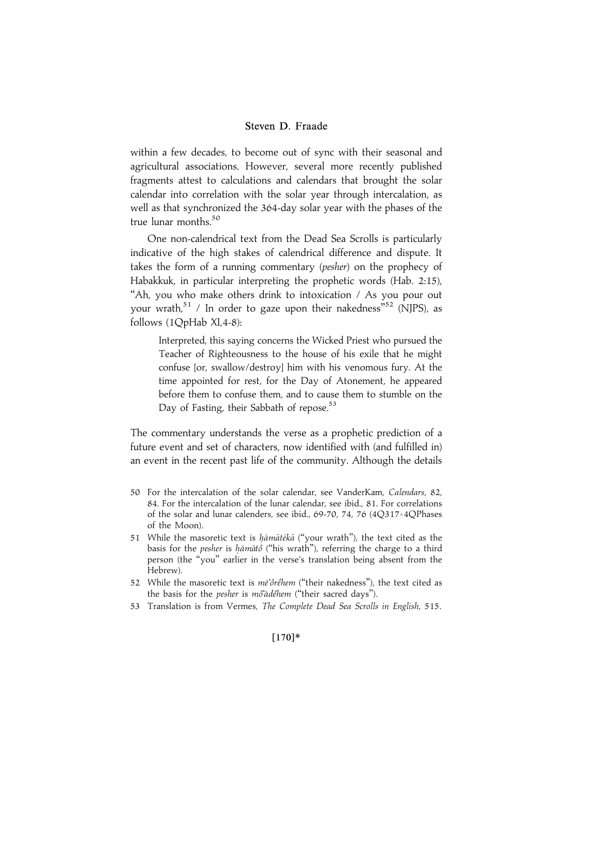within a few decades, to become out of sync with their seasonal and agricultural associations. However, several more recently published fragments attest to calculations and calendars that brought the solar calendar into correlation with the solar year through intercalation, as well as that synchronized the 364-day solar year with the phases of the true lunar months.<sup>50</sup>

One non-calendrical text from the Dead Sea Scrolls is particularly indicative of the high stakes of calendrical difference and dispute. It takes the form of a running commentary (pesher) on the prophecy of Habakkuk, in particular interpreting the prophetic words (Hab. 2:15), "Ah, you who make others drink to intoxication / As you pour out your wrath,<sup>51</sup> / In order to gaze upon their nakedness"<sup>52</sup> (NJPS), as follows (1QpHab XI,4-8):

Interpreted, this saying concerns the Wicked Priest who pursued the Teacher of Righteousness to the house of his exile that he might confuse [or, swallow/destroy] him with his venomous fury. At the time appointed for rest, for the Day of Atonement, he appeared before them to confuse them, and to cause them to stumble on the Day of Fasting, their Sabbath of repose.<sup>53</sup>

The commentary understands the verse as a prophetic prediction of a future event and set of characters, now identified with (and fulfilled in) an event in the recent past life of the community. Although the details

- 50 For the intercalation of the solar calendar, see VanderKam, Calendars, 82, 84. For the intercalation of the lunar calendar, see ibid., 81. For correlations of the solar and lunar calenders, see ibid., 69-70, 74, 76 (4Q317=4QPhases of the Moon).
- 51 While the masoretic text is hămātěkā ("your wrath"), the text cited as the basis for the *pesher* is *hämātô* ("his wrath"), referring the charge to a third person (the ''you'' earlier in the verse's translation being absent from the Hebrew).
- 52 While the masoretic text is mě'ôrêhem ("their nakedness"), the text cited as the basis for the *pesher* is *mốʿădêhem* ("their sacred days").
- 53 Translation is from Vermes, The Complete Dead Sea Scrolls in English, 515.

#### $[170]*$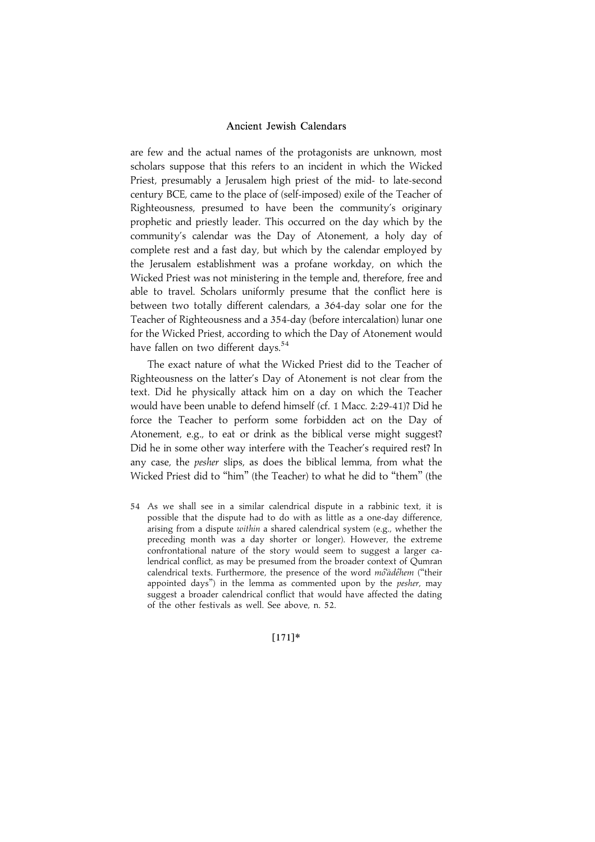are few and the actual names of the protagonists are unknown, most scholars suppose that this refers to an incident in which the Wicked Priest, presumably a Jerusalem high priest of the mid- to late-second century BCE, came to the place of (self-imposed) exile of the Teacher of Righteousness, presumed to have been the community's originary prophetic and priestly leader. This occurred on the day which by the community's calendar was the Day of Atonement, a holy day of complete rest and a fast day, but which by the calendar employed by the Jerusalem establishment was a profane workday, on which the Wicked Priest was not ministering in the temple and, therefore, free and able to travel. Scholars uniformly presume that the conflict here is between two totally different calendars, a 364-day solar one for the Teacher of Righteousness and a 354-day (before intercalation) lunar one for the Wicked Priest, according to which the Day of Atonement would have fallen on two different days.<sup>54</sup>

The exact nature of what the Wicked Priest did to the Teacher of Righteousness on the latter's Day of Atonement is not clear from the text. Did he physically attack him on a day on which the Teacher would have been unable to defend himself (cf. 1 Macc. 2:29-41)? Did he force the Teacher to perform some forbidden act on the Day of Atonement, e.g., to eat or drink as the biblical verse might suggest? Did he in some other way interfere with the Teacher's required rest? In any case, the *pesher* slips, as does the biblical lemma, from what the Wicked Priest did to ''him'' (the Teacher) to what he did to ''them'' (the

54 As we shall see in a similar calendrical dispute in a rabbinic text, it is possible that the dispute had to do with as little as a one-day difference, arising from a dispute within a shared calendrical system (e.g., whether the preceding month was a day shorter or longer). However, the extreme confrontational nature of the story would seem to suggest a larger calendrical conflict, as may be presumed from the broader context of Qumran calendrical texts. Furthermore, the presence of the word mô°adêhem ("their appointed days") in the lemma as commented upon by the pesher, may suggest a broader calendrical conflict that would have affected the dating of the other festivals as well. See above, n. 52.

#### $[171]*$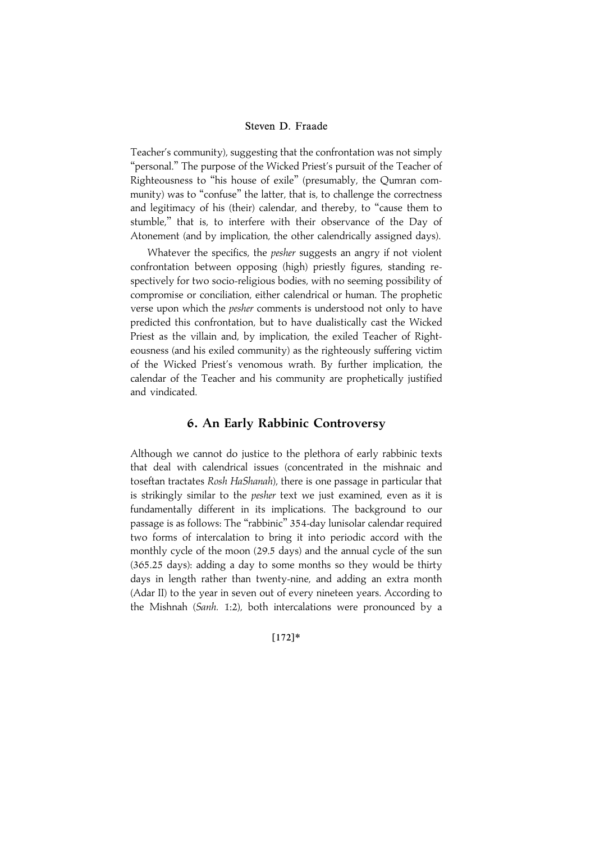Teacher's community), suggesting that the confrontation was not simply "personal." The purpose of the Wicked Priest's pursuit of the Teacher of Righteousness to ''his house of exile'' (presumably, the Qumran community) was to "confuse" the latter, that is, to challenge the correctness and legitimacy of his (their) calendar, and thereby, to ''cause them to stumble,'' that is, to interfere with their observance of the Day of Atonement (and by implication, the other calendrically assigned days).

Whatever the specifics, the *pesher* suggests an angry if not violent confrontation between opposing (high) priestly figures, standing respectively for two socio-religious bodies, with no seeming possibility of compromise or conciliation, either calendrical or human. The prophetic verse upon which the *pesher* comments is understood not only to have predicted this confrontation, but to have dualistically cast the Wicked Priest as the villain and, by implication, the exiled Teacher of Righteousness (and his exiled community) as the righteously suffering victim of the Wicked Priest's venomous wrath. By further implication, the calendar of the Teacher and his community are prophetically justified and vindicated.

# 6. An Early Rabbinic Controversy

Although we cannot do justice to the plethora of early rabbinic texts that deal with calendrical issues (concentrated in the mishnaic and toseftan tractates Rosh HaShanah), there is one passage in particular that is strikingly similar to the *pesher* text we just examined, even as it is fundamentally different in its implications. The background to our passage is as follows: The ''rabbinic'' 354-day lunisolar calendar required two forms of intercalation to bring it into periodic accord with the monthly cycle of the moon (29.5 days) and the annual cycle of the sun (365.25 days): adding a day to some months so they would be thirty days in length rather than twenty-nine, and adding an extra month (Adar II) to the year in seven out of every nineteen years. According to the Mishnah (Sanh. 1:2), both intercalations were pronounced by a

#### $[172]*$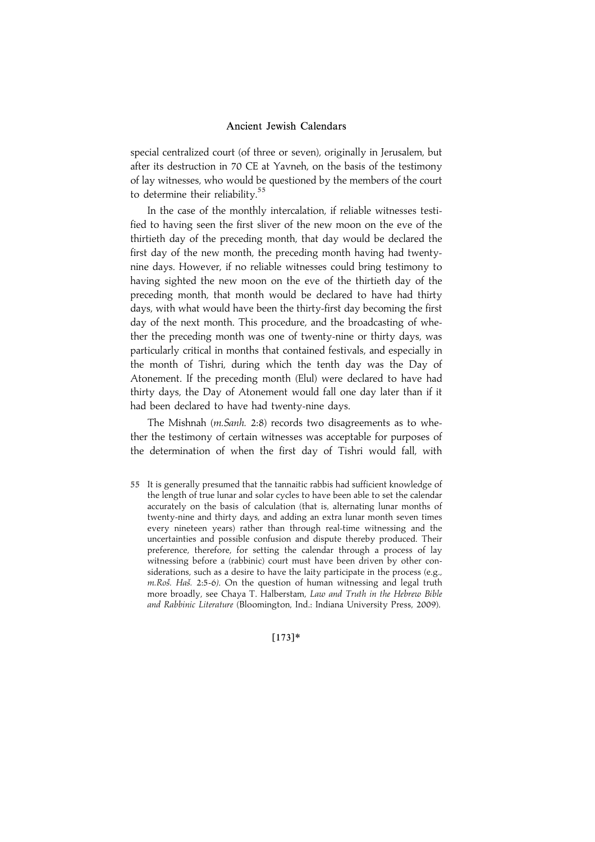special centralized court (of three or seven), originally in Jerusalem, but after its destruction in 70 CE at Yavneh, on the basis of the testimony of lay witnesses, who would be questioned by the members of the court to determine their reliability. $55$ 

In the case of the monthly intercalation, if reliable witnesses testified to having seen the first sliver of the new moon on the eve of the thirtieth day of the preceding month, that day would be declared the first day of the new month, the preceding month having had twentynine days. However, if no reliable witnesses could bring testimony to having sighted the new moon on the eve of the thirtieth day of the preceding month, that month would be declared to have had thirty days, with what would have been the thirty-first day becoming the first day of the next month. This procedure, and the broadcasting of whether the preceding month was one of twenty-nine or thirty days, was particularly critical in months that contained festivals, and especially in the month of Tishri, during which the tenth day was the Day of Atonement. If the preceding month (Elul) were declared to have had thirty days, the Day of Atonement would fall one day later than if it had been declared to have had twenty-nine days.

The Mishnah (m.Sanh. 2:8) records two disagreements as to whether the testimony of certain witnesses was acceptable for purposes of the determination of when the first day of Tishri would fall, with

55 It is generally presumed that the tannaitic rabbis had sufficient knowledge of the length of true lunar and solar cycles to have been able to set the calendar accurately on the basis of calculation (that is, alternating lunar months of twenty-nine and thirty days, and adding an extra lunar month seven times every nineteen years) rather than through real-time witnessing and the uncertainties and possible confusion and dispute thereby produced. Their preference, therefore, for setting the calendar through a process of lay witnessing before a (rabbinic) court must have been driven by other considerations, such as a desire to have the laity participate in the process (e.g.,  $m.Roš. Haš. 2:5-6$ ). On the question of human witnessing and legal truth more broadly, see Chaya T. Halberstam, Law and Truth in the Hebrew Bible and Rabbinic Literature (Bloomington, Ind.: Indiana University Press, 2009).

 $[173]*$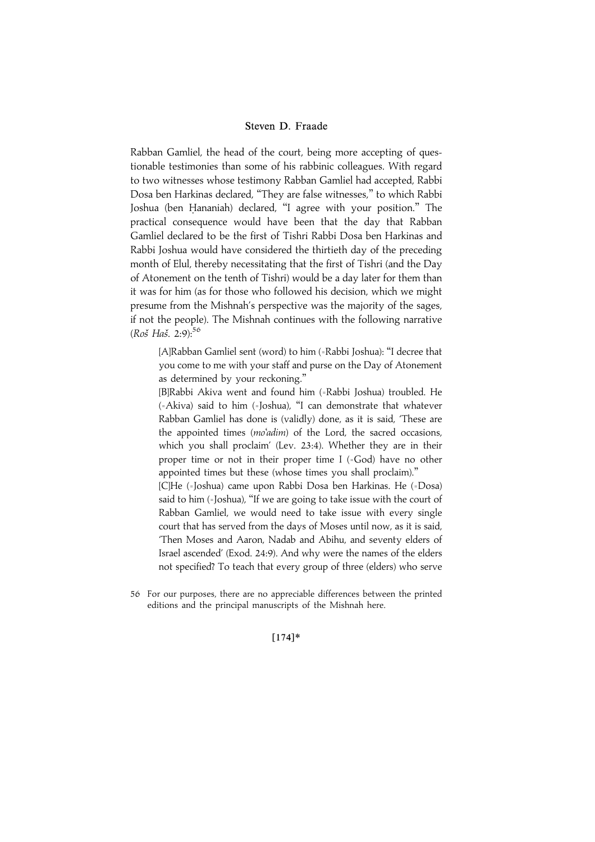Rabban Gamliel, the head of the court, being more accepting of questionable testimonies than some of his rabbinic colleagues. With regard to two witnesses whose testimony Rabban Gamliel had accepted, Rabbi Dosa ben Harkinas declared, ''They are false witnesses,'' to which Rabbi Joshua (ben Hananiah) declared, "I agree with your position." The practical consequence would have been that the day that Rabban Gamliel declared to be the first of Tishri Rabbi Dosa ben Harkinas and Rabbi Joshua would have considered the thirtieth day of the preceding month of Elul, thereby necessitating that the first of Tishri (and the Day of Atonement on the tenth of Tishri) would be a day later for them than it was for him (as for those who followed his decision, which we might presume from the Mishnah's perspective was the majority of the sages, if not the people). The Mishnah continues with the following narrative  $(Roš Haš. 2:9):^{56}$ 

[A]Rabban Gamliel sent (word) to him (=Rabbi Joshua): ''I decree that you come to me with your staff and purse on the Day of Atonement as determined by your reckoning.''

[B]Rabbi Akiva went and found him (=Rabbi Joshua) troubled. He (=Akiva) said to him (=Joshua), ''I can demonstrate that whatever Rabban Gamliel has done is (validly) done, as it is said, 'These are the appointed times (mo'adim) of the Lord, the sacred occasions, which you shall proclaim' (Lev. 23:4). Whether they are in their proper time or not in their proper time I (=God) have no other appointed times but these (whose times you shall proclaim).''

[C]He (=Joshua) came upon Rabbi Dosa ben Harkinas. He (=Dosa) said to him (=Joshua), ''If we are going to take issue with the court of Rabban Gamliel, we would need to take issue with every single court that has served from the days of Moses until now, as it is said, 'Then Moses and Aaron, Nadab and Abihu, and seventy elders of Israel ascended' (Exod. 24:9). And why were the names of the elders not specified? To teach that every group of three (elders) who serve

#### $[174]*$

<sup>56</sup> For our purposes, there are no appreciable differences between the printed editions and the principal manuscripts of the Mishnah here.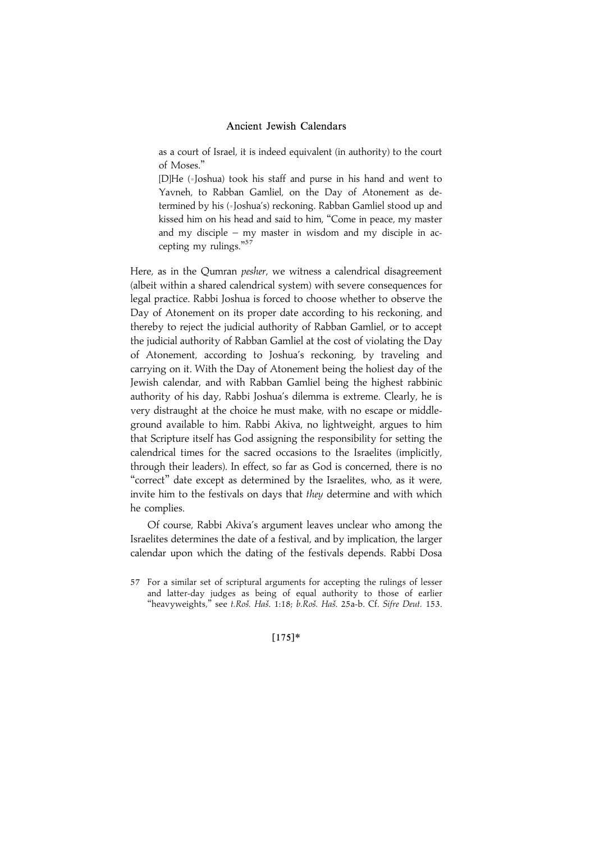as a court of Israel, it is indeed equivalent (in authority) to the court of Moses.''

[D]He (=Joshua) took his staff and purse in his hand and went to Yavneh, to Rabban Gamliel, on the Day of Atonement as determined by his (=Joshua's) reckoning. Rabban Gamliel stood up and kissed him on his head and said to him, ''Come in peace, my master and my disciple – my master in wisdom and my disciple in accepting my rulings."<sup>57</sup>

Here, as in the Qumran pesher, we witness a calendrical disagreement (albeit within a shared calendrical system) with severe consequences for legal practice. Rabbi Joshua is forced to choose whether to observe the Day of Atonement on its proper date according to his reckoning, and thereby to reject the judicial authority of Rabban Gamliel, or to accept the judicial authority of Rabban Gamliel at the cost of violating the Day of Atonement, according to Joshua's reckoning, by traveling and carrying on it. With the Day of Atonement being the holiest day of the Jewish calendar, and with Rabban Gamliel being the highest rabbinic authority of his day, Rabbi Joshua's dilemma is extreme. Clearly, he is very distraught at the choice he must make, with no escape or middleground available to him. Rabbi Akiva, no lightweight, argues to him that Scripture itself has God assigning the responsibility for setting the calendrical times for the sacred occasions to the Israelites (implicitly, through their leaders). In effect, so far as God is concerned, there is no "correct" date except as determined by the Israelites, who, as it were, invite him to the festivals on days that they determine and with which he complies.

Of course, Rabbi Akiva's argument leaves unclear who among the Israelites determines the date of a festival, and by implication, the larger calendar upon which the dating of the festivals depends. Rabbi Dosa

#### $[175]*$

<sup>57</sup> For a similar set of scriptural arguments for accepting the rulings of lesser and latter-day judges as being of equal authority to those of earlier "heavyweights," see t.Roš. Haš. 1:18; b.Roš. Haš. 25a-b. Cf. Sifre Deut. 153.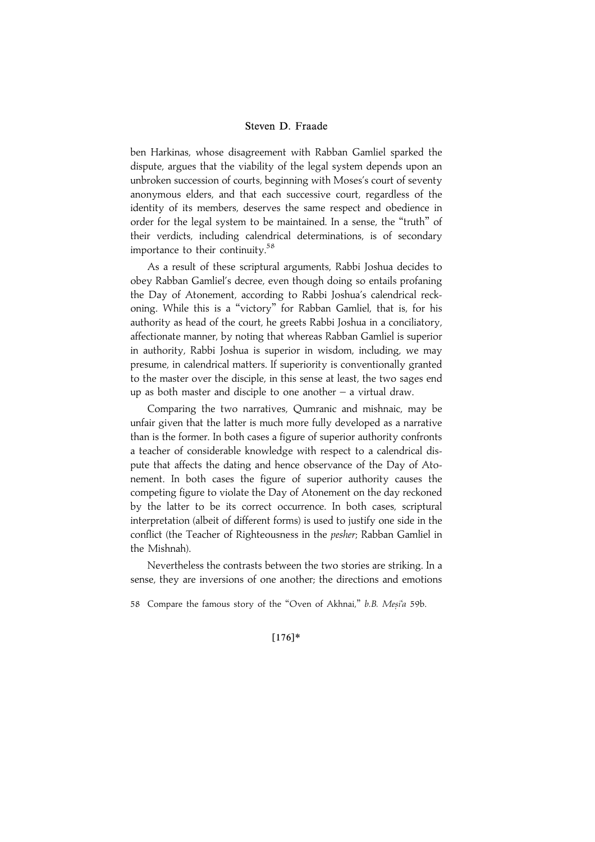ben Harkinas, whose disagreement with Rabban Gamliel sparked the dispute, argues that the viability of the legal system depends upon an unbroken succession of courts, beginning with Moses's court of seventy anonymous elders, and that each successive court, regardless of the identity of its members, deserves the same respect and obedience in order for the legal system to be maintained. In a sense, the ''truth'' of their verdicts, including calendrical determinations, is of secondary importance to their continuity.<sup>58</sup>

As a result of these scriptural arguments, Rabbi Joshua decides to obey Rabban Gamliel's decree, even though doing so entails profaning the Day of Atonement, according to Rabbi Joshua's calendrical reckoning. While this is a ''victory'' for Rabban Gamliel, that is, for his authority as head of the court, he greets Rabbi Joshua in a conciliatory, affectionate manner, by noting that whereas Rabban Gamliel is superior in authority, Rabbi Joshua is superior in wisdom, including, we may presume, in calendrical matters. If superiority is conventionally granted to the master over the disciple, in this sense at least, the two sages end up as both master and disciple to one another  $-$  a virtual draw.

Comparing the two narratives, Qumranic and mishnaic, may be unfair given that the latter is much more fully developed as a narrative than is the former. In both cases a figure of superior authority confronts a teacher of considerable knowledge with respect to a calendrical dispute that affects the dating and hence observance of the Day of Atonement. In both cases the figure of superior authority causes the competing figure to violate the Day of Atonement on the day reckoned by the latter to be its correct occurrence. In both cases, scriptural interpretation (albeit of different forms) is used to justify one side in the conflict (the Teacher of Righteousness in the pesher; Rabban Gamliel in the Mishnah).

Nevertheless the contrasts between the two stories are striking. In a sense, they are inversions of one another; the directions and emotions

58 Compare the famous story of the "Oven of Akhnai," b.B. Mesi'a 59b.

#### $[176]*$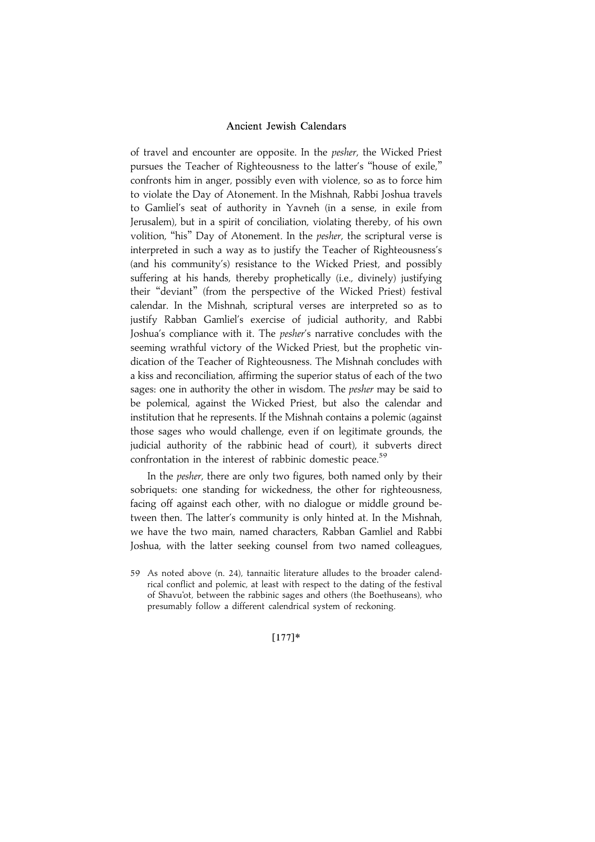of travel and encounter are opposite. In the pesher, the Wicked Priest pursues the Teacher of Righteousness to the latter's ''house of exile,'' confronts him in anger, possibly even with violence, so as to force him to violate the Day of Atonement. In the Mishnah, Rabbi Joshua travels to Gamliel's seat of authority in Yavneh (in a sense, in exile from Jerusalem), but in a spirit of conciliation, violating thereby, of his own volition, "his" Day of Atonement. In the *pesher*, the scriptural verse is interpreted in such a way as to justify the Teacher of Righteousness's (and his community's) resistance to the Wicked Priest, and possibly suffering at his hands, thereby prophetically (i.e., divinely) justifying their ''deviant'' (from the perspective of the Wicked Priest) festival calendar. In the Mishnah, scriptural verses are interpreted so as to justify Rabban Gamliel's exercise of judicial authority, and Rabbi Joshua's compliance with it. The pesher's narrative concludes with the seeming wrathful victory of the Wicked Priest, but the prophetic vindication of the Teacher of Righteousness. The Mishnah concludes with a kiss and reconciliation, affirming the superior status of each of the two sages: one in authority the other in wisdom. The *pesher* may be said to be polemical, against the Wicked Priest, but also the calendar and institution that he represents. If the Mishnah contains a polemic (against those sages who would challenge, even if on legitimate grounds, the judicial authority of the rabbinic head of court), it subverts direct confrontation in the interest of rabbinic domestic peace.<sup>59</sup>

In the pesher, there are only two figures, both named only by their sobriquets: one standing for wickedness, the other for righteousness, facing off against each other, with no dialogue or middle ground between then. The latter's community is only hinted at. In the Mishnah, we have the two main, named characters, Rabban Gamliel and Rabbi Joshua, with the latter seeking counsel from two named colleagues,

#### $[177]*$

<sup>59</sup> As noted above (n. 24), tannaitic literature alludes to the broader calendrical conflict and polemic, at least with respect to the dating of the festival of Shavu'ot, between the rabbinic sages and others (the Boethuseans), who presumably follow a different calendrical system of reckoning.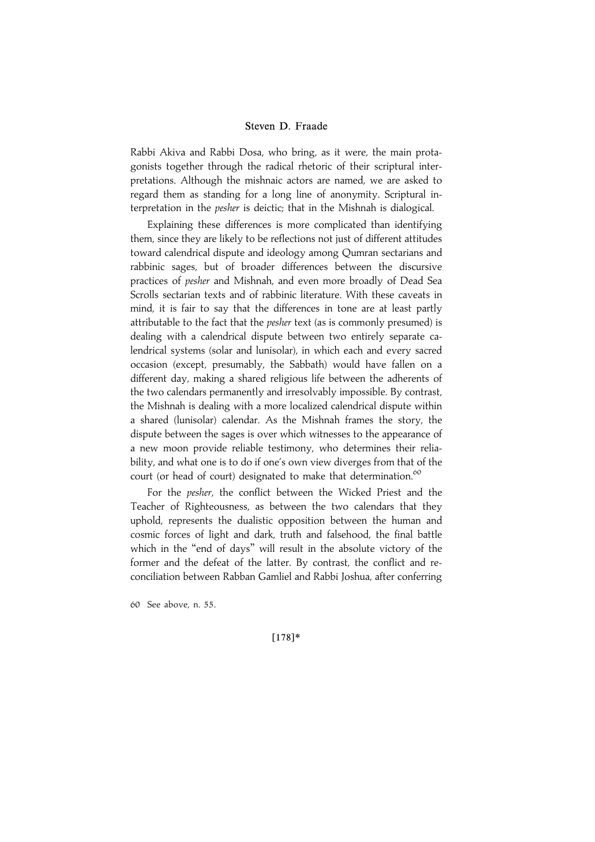Rabbi Akiva and Rabbi Dosa, who bring, as it were, the main protagonists together through the radical rhetoric of their scriptural interpretations. Although the mishnaic actors are named, we are asked to regard them as standing for a long line of anonymity. Scriptural interpretation in the *pesher* is deictic; that in the Mishnah is dialogical.

Explaining these differences is more complicated than identifying them, since they are likely to be reflections not just of different attitudes toward calendrical dispute and ideology among Qumran sectarians and rabbinic sages, but of broader differences between the discursive practices of pesher and Mishnah, and even more broadly of Dead Sea Scrolls sectarian texts and of rabbinic literature. With these caveats in mind, it is fair to say that the differences in tone are at least partly attributable to the fact that the *pesher* text (as is commonly presumed) is dealing with a calendrical dispute between two entirely separate calendrical systems (solar and lunisolar), in which each and every sacred occasion (except, presumably, the Sabbath) would have fallen on a different day, making a shared religious life between the adherents of the two calendars permanently and irresolvably impossible. By contrast, the Mishnah is dealing with a more localized calendrical dispute within a shared (lunisolar) calendar. As the Mishnah frames the story, the dispute between the sages is over which witnesses to the appearance of a new moon provide reliable testimony, who determines their reliability, and what one is to do if one's own view diverges from that of the court (or head of court) designated to make that determination.<sup>60</sup>

For the pesher, the conflict between the Wicked Priest and the Teacher of Righteousness, as between the two calendars that they uphold, represents the dualistic opposition between the human and cosmic forces of light and dark, truth and falsehood, the final battle which in the "end of days" will result in the absolute victory of the former and the defeat of the latter. By contrast, the conflict and reconciliation between Rabban Gamliel and Rabbi Joshua, after conferring

60 See above, n. 55.

 $[178]*$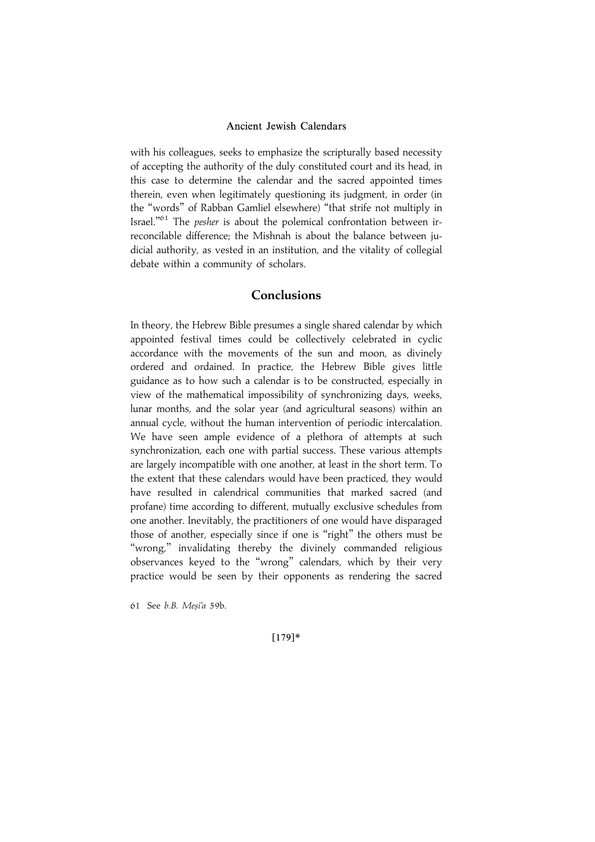with his colleagues, seeks to emphasize the scripturally based necessity of accepting the authority of the duly constituted court and its head, in this case to determine the calendar and the sacred appointed times therein, even when legitimately questioning its judgment, in order (in the ''words'' of Rabban Gamliel elsewhere) ''that strife not multiply in Israel."<sup>61</sup> The *pesher* is about the polemical confrontation between irreconcilable difference; the Mishnah is about the balance between judicial authority, as vested in an institution, and the vitality of collegial debate within a community of scholars.

# Conclusions

In theory, the Hebrew Bible presumes a single shared calendar by which appointed festival times could be collectively celebrated in cyclic accordance with the movements of the sun and moon, as divinely ordered and ordained. In practice, the Hebrew Bible gives little guidance as to how such a calendar is to be constructed, especially in view of the mathematical impossibility of synchronizing days, weeks, lunar months, and the solar year (and agricultural seasons) within an annual cycle, without the human intervention of periodic intercalation. We have seen ample evidence of a plethora of attempts at such synchronization, each one with partial success. These various attempts are largely incompatible with one another, at least in the short term. To the extent that these calendars would have been practiced, they would have resulted in calendrical communities that marked sacred (and profane) time according to different, mutually exclusive schedules from one another. Inevitably, the practitioners of one would have disparaged those of another, especially since if one is ''right'' the others must be ''wrong,'' invalidating thereby the divinely commanded religious observances keyed to the ''wrong'' calendars, which by their very practice would be seen by their opponents as rendering the sacred

61 See b.B. Mesi'a 59b.

 $[179]*$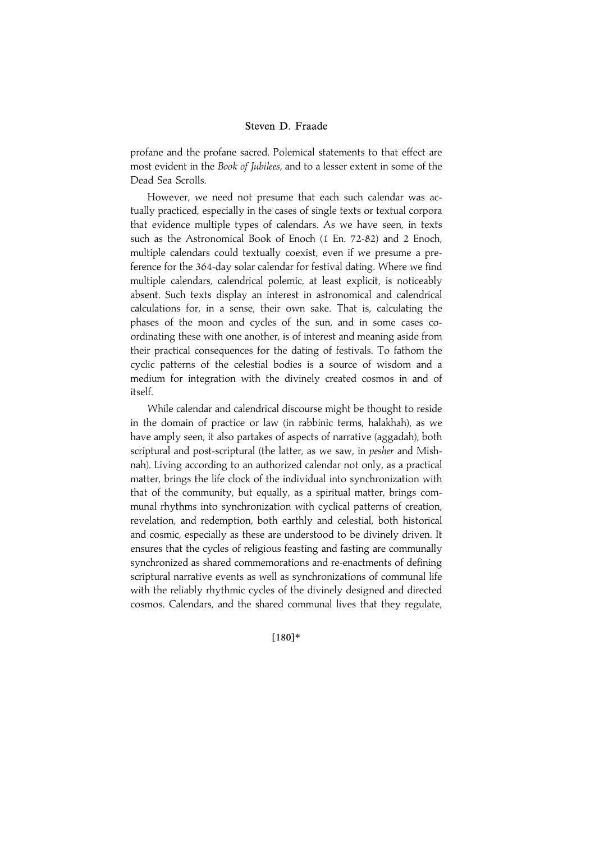profane and the profane sacred. Polemical statements to that effect are most evident in the Book of Jubilees, and to a lesser extent in some of the Dead Sea Scrolls.

However, we need not presume that each such calendar was actually practiced, especially in the cases of single texts or textual corpora that evidence multiple types of calendars. As we have seen, in texts such as the Astronomical Book of Enoch (1 En. 72-82) and 2 Enoch, multiple calendars could textually coexist, even if we presume a preference for the 364-day solar calendar for festival dating. Where we find multiple calendars, calendrical polemic, at least explicit, is noticeably absent. Such texts display an interest in astronomical and calendrical calculations for, in a sense, their own sake. That is, calculating the phases of the moon and cycles of the sun, and in some cases coordinating these with one another, is of interest and meaning aside from their practical consequences for the dating of festivals. To fathom the cyclic patterns of the celestial bodies is a source of wisdom and a medium for integration with the divinely created cosmos in and of itself.

While calendar and calendrical discourse might be thought to reside in the domain of practice or law (in rabbinic terms, halakhah), as we have amply seen, it also partakes of aspects of narrative (aggadah), both scriptural and post-scriptural (the latter, as we saw, in pesher and Mishnah). Living according to an authorized calendar not only, as a practical matter, brings the life clock of the individual into synchronization with that of the community, but equally, as a spiritual matter, brings communal rhythms into synchronization with cyclical patterns of creation, revelation, and redemption, both earthly and celestial, both historical and cosmic, especially as these are understood to be divinely driven. It ensures that the cycles of religious feasting and fasting are communally synchronized as shared commemorations and re-enactments of defining scriptural narrative events as well as synchronizations of communal life with the reliably rhythmic cycles of the divinely designed and directed cosmos. Calendars, and the shared communal lives that they regulate,

#### $[180]*$